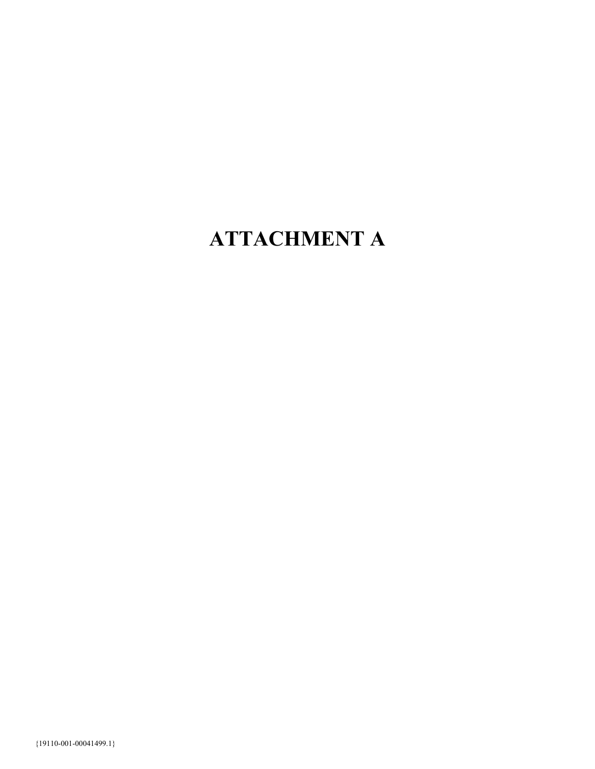# **ATTACHMENT A**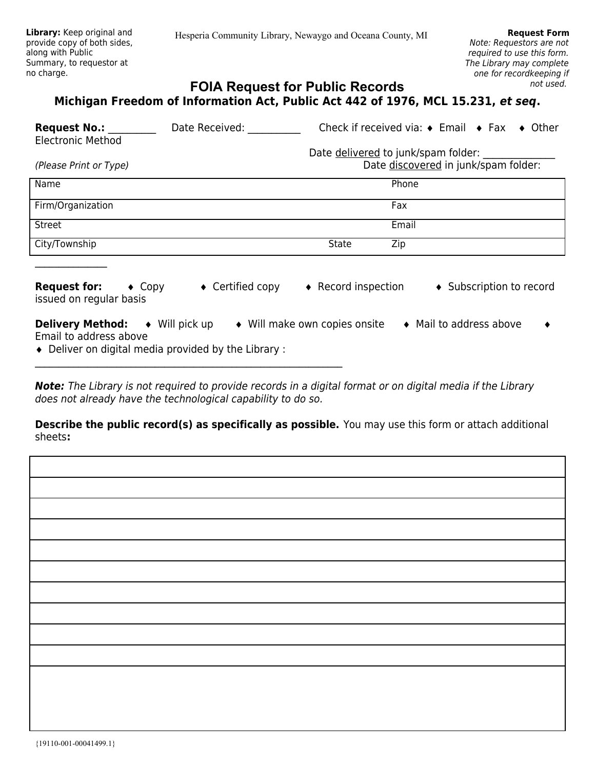## **FOIA Request for Public Records Michigan Freedom of Information Act, Public Act 442 of 1976, MCL 15.231, et seq.**

| <b>Request No.:</b><br><b>Electronic Method</b>                                                                                                                                              | Date Received:           |                     | Check if received via: $\bullet$ Email $\bullet$ Fax<br>$\bullet$ Other     |  |
|----------------------------------------------------------------------------------------------------------------------------------------------------------------------------------------------|--------------------------|---------------------|-----------------------------------------------------------------------------|--|
| (Please Print or Type)                                                                                                                                                                       |                          |                     | Date delivered to junk/spam folder:<br>Date discovered in junk/spam folder: |  |
| Name                                                                                                                                                                                         |                          |                     | Phone                                                                       |  |
| Firm/Organization                                                                                                                                                                            |                          |                     | Fax                                                                         |  |
| Street                                                                                                                                                                                       |                          |                     | Email                                                                       |  |
| City/Township                                                                                                                                                                                |                          | State               | Zip                                                                         |  |
| <b>Request for:</b><br>$\triangle$ Copy<br>issued on regular basis                                                                                                                           | $\bullet$ Certified copy | ◆ Record inspection | • Subscription to record                                                    |  |
| <b>Delivery Method:</b> $\bullet$ Will pick up<br>• Mail to address above<br>• Will make own copies onsite<br>Email to address above<br>• Deliver on digital media provided by the Library : |                          |                     |                                                                             |  |

**Note:** The Library is not required to provide records in a digital format or on digital media if the Library does not already have the technological capability to do so.

**Describe the public record(s) as specifically as possible.** You may use this form or attach additional sheets**:**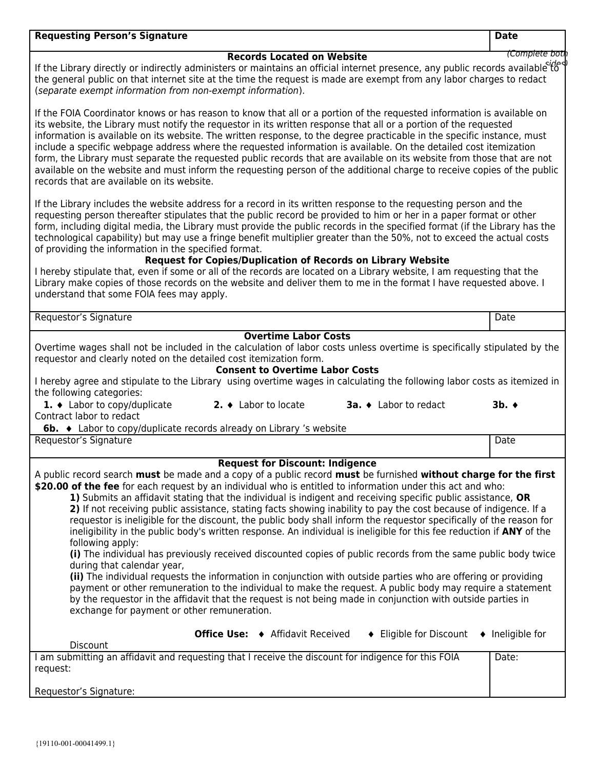| <b>Requesting Person's Signature</b>                                                                                                                                                                                                                                                                                                                                                                                                                                                                                                                                                                                                                                                                                                                                                                                                                                                                                                                                                                                                                                                                                                                                                                                                                                                                                             | <b>Date</b>              |
|----------------------------------------------------------------------------------------------------------------------------------------------------------------------------------------------------------------------------------------------------------------------------------------------------------------------------------------------------------------------------------------------------------------------------------------------------------------------------------------------------------------------------------------------------------------------------------------------------------------------------------------------------------------------------------------------------------------------------------------------------------------------------------------------------------------------------------------------------------------------------------------------------------------------------------------------------------------------------------------------------------------------------------------------------------------------------------------------------------------------------------------------------------------------------------------------------------------------------------------------------------------------------------------------------------------------------------|--------------------------|
| <b>Records Located on Website</b>                                                                                                                                                                                                                                                                                                                                                                                                                                                                                                                                                                                                                                                                                                                                                                                                                                                                                                                                                                                                                                                                                                                                                                                                                                                                                                | (Complete both           |
| If the Library directly or indirectly administers or maintains an official internet presence, any public records available to<br>the general public on that internet site at the time the request is made are exempt from any labor charges to redact<br>(separate exempt information from non-exempt information).                                                                                                                                                                                                                                                                                                                                                                                                                                                                                                                                                                                                                                                                                                                                                                                                                                                                                                                                                                                                              |                          |
| If the FOIA Coordinator knows or has reason to know that all or a portion of the requested information is available on<br>its website, the Library must notify the requestor in its written response that all or a portion of the requested<br>information is available on its website. The written response, to the degree practicable in the specific instance, must<br>include a specific webpage address where the requested information is available. On the detailed cost itemization<br>form, the Library must separate the requested public records that are available on its website from those that are not<br>available on the website and must inform the requesting person of the additional charge to receive copies of the public<br>records that are available on its website.                                                                                                                                                                                                                                                                                                                                                                                                                                                                                                                                   |                          |
| If the Library includes the website address for a record in its written response to the requesting person and the<br>requesting person thereafter stipulates that the public record be provided to him or her in a paper format or other<br>form, including digital media, the Library must provide the public records in the specified format (if the Library has the<br>technological capability) but may use a fringe benefit multiplier greater than the 50%, not to exceed the actual costs<br>of providing the information in the specified format.<br><b>Request for Copies/Duplication of Records on Library Website</b><br>I hereby stipulate that, even if some or all of the records are located on a Library website, I am requesting that the                                                                                                                                                                                                                                                                                                                                                                                                                                                                                                                                                                       |                          |
| Library make copies of those records on the website and deliver them to me in the format I have requested above. I<br>understand that some FOIA fees may apply.                                                                                                                                                                                                                                                                                                                                                                                                                                                                                                                                                                                                                                                                                                                                                                                                                                                                                                                                                                                                                                                                                                                                                                  |                          |
| Requestor's Signature                                                                                                                                                                                                                                                                                                                                                                                                                                                                                                                                                                                                                                                                                                                                                                                                                                                                                                                                                                                                                                                                                                                                                                                                                                                                                                            | Date                     |
| Overtime wages shall not be included in the calculation of labor costs unless overtime is specifically stipulated by the<br>requestor and clearly noted on the detailed cost itemization form.<br><b>Consent to Overtime Labor Costs</b><br>I hereby agree and stipulate to the Library using overtime wages in calculating the following labor costs as itemized in<br>the following categories:                                                                                                                                                                                                                                                                                                                                                                                                                                                                                                                                                                                                                                                                                                                                                                                                                                                                                                                                |                          |
| 2. ♦ Labor to locate<br><b>3a. ♦</b> Labor to redact<br>1. $\bullet$ Labor to copy/duplicate<br>Contract labor to redact<br>6b. ◆ Labor to copy/duplicate records already on Library 's website                                                                                                                                                                                                                                                                                                                                                                                                                                                                                                                                                                                                                                                                                                                                                                                                                                                                                                                                                                                                                                                                                                                                  | $3b.$ $\rightarrow$      |
| Requestor's Signature                                                                                                                                                                                                                                                                                                                                                                                                                                                                                                                                                                                                                                                                                                                                                                                                                                                                                                                                                                                                                                                                                                                                                                                                                                                                                                            | Date                     |
| <b>Request for Discount: Indigence</b><br>A public record search must be made and a copy of a public record must be furnished without charge for the first<br>\$20.00 of the fee for each request by an individual who is entitled to information under this act and who:<br>1) Submits an affidavit stating that the individual is indigent and receiving specific public assistance, OR<br>2) If not receiving public assistance, stating facts showing inability to pay the cost because of indigence. If a<br>requestor is ineligible for the discount, the public body shall inform the requestor specifically of the reason for<br>ineligibility in the public body's written response. An individual is ineligible for this fee reduction if ANY of the<br>following apply:<br>(i) The individual has previously received discounted copies of public records from the same public body twice<br>during that calendar year,<br>(ii) The individual requests the information in conjunction with outside parties who are offering or providing<br>payment or other remuneration to the individual to make the request. A public body may require a statement<br>by the requestor in the affidavit that the request is not being made in conjunction with outside parties in<br>exchange for payment or other remuneration. |                          |
| Office Use: • Affidavit Received<br>♦ Eligible for Discount<br>Discount                                                                                                                                                                                                                                                                                                                                                                                                                                                                                                                                                                                                                                                                                                                                                                                                                                                                                                                                                                                                                                                                                                                                                                                                                                                          | $\bullet$ Ineligible for |
| I am submitting an affidavit and requesting that I receive the discount for indigence for this FOIA<br>request:                                                                                                                                                                                                                                                                                                                                                                                                                                                                                                                                                                                                                                                                                                                                                                                                                                                                                                                                                                                                                                                                                                                                                                                                                  | Date:                    |
| Requestor's Signature:                                                                                                                                                                                                                                                                                                                                                                                                                                                                                                                                                                                                                                                                                                                                                                                                                                                                                                                                                                                                                                                                                                                                                                                                                                                                                                           |                          |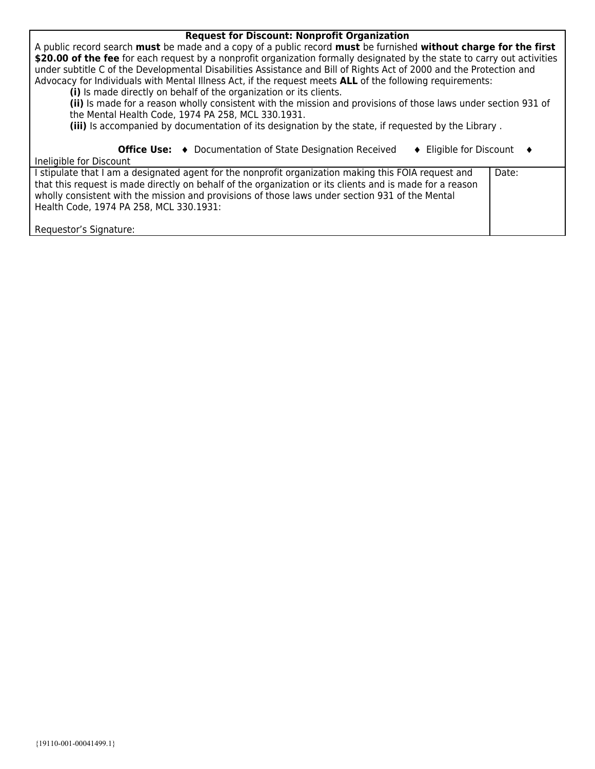### **Request for Discount: Nonprofit Organization**

A public record search **must** be made and a copy of a public record **must** be furnished **without charge for the first \$20.00 of the fee** for each request by a nonprofit organization formally designated by the state to carry out activities under subtitle C of the Developmental Disabilities Assistance and Bill of Rights Act of 2000 and the Protection and Advocacy for Individuals with Mental Illness Act, if the request meets **ALL** of the following requirements: **(i)** Is made directly on behalf of the organization or its clients.

**(ii)** Is made for a reason wholly consistent with the mission and provisions of those laws under section 931 of the Mental Health Code, 1974 PA 258, MCL 330.1931.

**(iii)** Is accompanied by documentation of its designation by the state, if requested by the Library .

| <b>Office Use: •</b> Documentation of State Designation Received<br>$\bullet$ Eligible for Discount $\bullet$                                                                                                                                                                                                                                                  |       |
|----------------------------------------------------------------------------------------------------------------------------------------------------------------------------------------------------------------------------------------------------------------------------------------------------------------------------------------------------------------|-------|
| Ineligible for Discount                                                                                                                                                                                                                                                                                                                                        |       |
| I stipulate that I am a designated agent for the nonprofit organization making this FOIA request and<br>that this request is made directly on behalf of the organization or its clients and is made for a reason<br>wholly consistent with the mission and provisions of those laws under section 931 of the Mental<br>Health Code, 1974 PA 258, MCL 330.1931: | Date: |
| Requestor's Signature:                                                                                                                                                                                                                                                                                                                                         |       |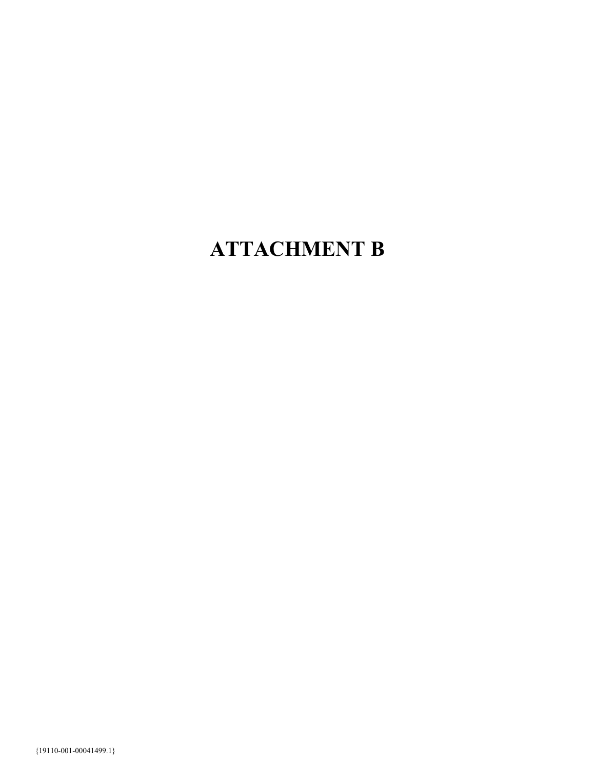# **ATTACHMENT B**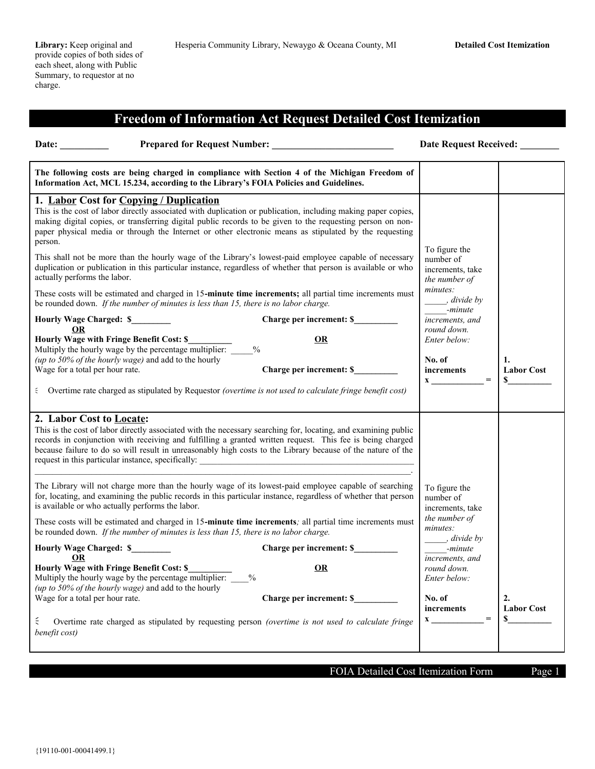provide copies of both sides of each sheet, along with Public Summary, to requestor at no charge.

| <b>Freedom of Information Act Request Detailed Cost Itemization</b>                                                                                                                                                                                                                                                                                                                                                                |                                                                                                             |                               |
|------------------------------------------------------------------------------------------------------------------------------------------------------------------------------------------------------------------------------------------------------------------------------------------------------------------------------------------------------------------------------------------------------------------------------------|-------------------------------------------------------------------------------------------------------------|-------------------------------|
| Prepared for Request Number:<br>Date:                                                                                                                                                                                                                                                                                                                                                                                              | Date Request Received: _______                                                                              |                               |
| The following costs are being charged in compliance with Section 4 of the Michigan Freedom of<br>Information Act, MCL 15.234, according to the Library's FOIA Policies and Guidelines.                                                                                                                                                                                                                                             |                                                                                                             |                               |
| 1. Labor Cost for Copying / Duplication<br>This is the cost of labor directly associated with duplication or publication, including making paper copies,<br>making digital copies, or transferring digital public records to be given to the requesting person on non-<br>paper physical media or through the Internet or other electronic means as stipulated by the requesting<br>person.                                        |                                                                                                             |                               |
| This shall not be more than the hourly wage of the Library's lowest-paid employee capable of necessary<br>duplication or publication in this particular instance, regardless of whether that person is available or who<br>actually performs the labor.                                                                                                                                                                            | To figure the<br>number of<br>increments, take<br>the number of                                             |                               |
| These costs will be estimated and charged in 15-minute time increments; all partial time increments must<br>be rounded down. If the number of minutes is less than 15, there is no labor charge.                                                                                                                                                                                                                                   | minutes:<br>$\frac{1}{\sqrt{2}}$ , divide by<br>-minute                                                     |                               |
| Hourly Wage Charged: \$<br>Charge per increment: \$<br><u>OR</u><br>Hourly Wage with Fringe Benefit Cost: \$<br>OR<br>Multiply the hourly wage by the percentage multiplier:<br>$\frac{0}{0}$<br>(up to 50% of the hourly wage) and add to the hourly<br>Charge per increment: \$<br>Wage for a total per hour rate.<br>€ Overtime rate charged as stipulated by Requestor (overtime is not used to calculate fringe benefit cost) | increments, and<br>round down.<br>Enter below:<br>No. of<br>increments<br>$\qquad \qquad =$<br>$\mathbf{x}$ | 1.<br><b>Labor Cost</b><br>\$ |
| 2. Labor Cost to Locate:<br>This is the cost of labor directly associated with the necessary searching for, locating, and examining public<br>records in conjunction with receiving and fulfilling a granted written request. This fee is being charged<br>because failure to do so will result in unreasonably high costs to the Library because of the nature of the                                                             |                                                                                                             |                               |
| The Library will not charge more than the hourly wage of its lowest-paid employee capable of searching<br>for, locating, and examining the public records in this particular instance, regardless of whether that person<br>is available or who actually performs the labor.                                                                                                                                                       | To figure the<br>number of<br>increments, take<br>the number of                                             |                               |
| These costs will be estimated and charged in 15-minute time increments; all partial time increments must<br>be rounded down. If the number of minutes is less than 15, there is no labor charge.                                                                                                                                                                                                                                   | minutes:<br>$\frac{1}{\sqrt{2}}$ , divide by                                                                |                               |
| OR<br>Hourly Wage with Fringe Benefit Cost: \$<br>OR<br>Multiply the hourly wage by the percentage multiplier:<br>$\frac{0}{0}$<br>(up to 50% of the hourly wage) and add to the hourly<br>Charge per increment: \$<br>Wage for a total per hour rate.                                                                                                                                                                             | -minute<br>increments, and<br>round down.<br>Enter below:<br>No. of<br>increments                           | 2.<br><b>Labor Cost</b>       |
| ξ<br>Overtime rate charged as stipulated by requesting person (overtime is not used to calculate fringe<br>benefit cost)                                                                                                                                                                                                                                                                                                           | $\mathbf{x}$ and $\mathbf{x}$                                                                               |                               |

FOIA Detailed Cost Itemization Form Page 1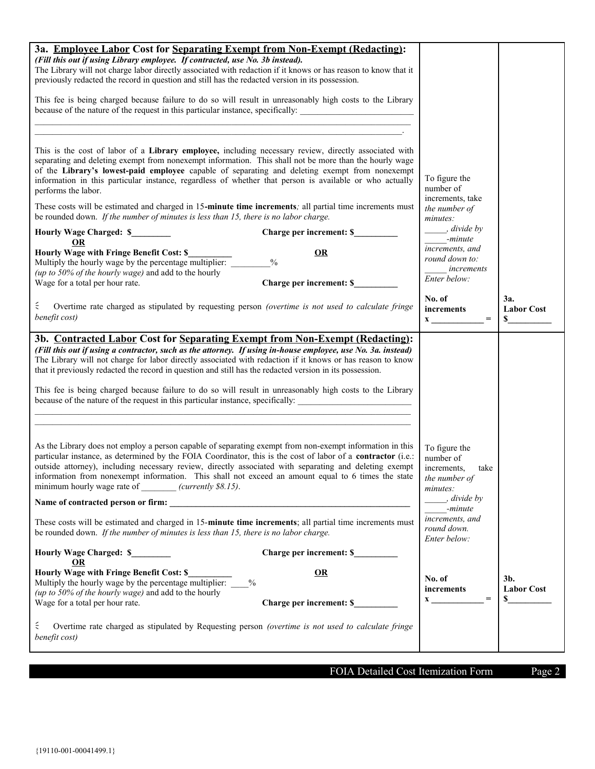| 3a. Employee Labor Cost for Separating Exempt from Non-Exempt (Redacting):<br>(Fill this out if using Library employee. If contracted, use No. 3b instead).<br>The Library will not charge labor directly associated with redaction if it knows or has reason to know that it<br>previously redacted the record in question and still has the redacted version in its possession.<br>This fee is being charged because failure to do so will result in unreasonably high costs to the Library<br>because of the nature of the request in this particular instance, specifically:                                                                                                                                                                                                                                                                                                                                                                                                                                                                                                                                                                                                                                                                                                                                                                                                                                                                                                                                                                                   |                                                                                                                                                                                                                                                                                                                   |                                                                                                                                                                                                                                |
|--------------------------------------------------------------------------------------------------------------------------------------------------------------------------------------------------------------------------------------------------------------------------------------------------------------------------------------------------------------------------------------------------------------------------------------------------------------------------------------------------------------------------------------------------------------------------------------------------------------------------------------------------------------------------------------------------------------------------------------------------------------------------------------------------------------------------------------------------------------------------------------------------------------------------------------------------------------------------------------------------------------------------------------------------------------------------------------------------------------------------------------------------------------------------------------------------------------------------------------------------------------------------------------------------------------------------------------------------------------------------------------------------------------------------------------------------------------------------------------------------------------------------------------------------------------------|-------------------------------------------------------------------------------------------------------------------------------------------------------------------------------------------------------------------------------------------------------------------------------------------------------------------|--------------------------------------------------------------------------------------------------------------------------------------------------------------------------------------------------------------------------------|
| This is the cost of labor of a Library employee, including necessary review, directly associated with<br>separating and deleting exempt from nonexempt information. This shall not be more than the hourly wage<br>of the Library's lowest-paid employee capable of separating and deleting exempt from nonexempt<br>information in this particular instance, regardless of whether that person is available or who actually<br>performs the labor.<br>These costs will be estimated and charged in 15-minute time increments; all partial time increments must<br>be rounded down. If the number of minutes is less than 15, there is no labor charge.<br>Hourly Wage Charged: \$<br>Charge per increment: \$<br><b>OR</b><br>Hourly Wage with Fringe Benefit Cost: \$_<br>OR<br>Multiply the hourly wage by the percentage multiplier:<br>$\frac{0}{0}$<br>(up to 50% of the hourly wage) and add to the hourly<br>Charge per increment: \$<br>Wage for a total per hour rate.<br>ξ<br>Overtime rate charged as stipulated by requesting person (overtime is not used to calculate fringe<br>benefit cost)                                                                                                                                                                                                                                                                                                                                                                                                                                                       | To figure the<br>number of<br>increments, take<br>the number of<br>minutes:<br>$\frac{1}{\sqrt{2}}$ , divide by<br>$\frac{1}{2}$ -minute<br>increments, and<br>round down to:<br>increments<br>Enter below:<br>No. of<br>increments<br>$\mathbf{X}$ and $\mathbf{X}$ and $\mathbf{X}$ are the set of $\mathbf{X}$ | 3a.<br><b>Labor Cost</b><br>\$                                                                                                                                                                                                 |
| 3b. Contracted Labor Cost for Separating Exempt from Non-Exempt (Redacting):<br>(Fill this out if using a contractor, such as the attorney. If using in-house employee, use No. 3a. instead)<br>The Library will not charge for labor directly associated with redaction if it knows or has reason to know<br>that it previously redacted the record in question and still has the redacted version in its possession.<br>This fee is being charged because failure to do so will result in unreasonably high costs to the Library<br>because of the nature of the request in this particular instance, specifically:<br>As the Library does not employ a person capable of separating exempt from non-exempt information in this<br>particular instance, as determined by the FOIA Coordinator, this is the cost of labor of a contractor (i.e.:<br>outside attorney), including necessary review, directly associated with separating and deleting exempt<br>information from nonexempt information. This shall not exceed an amount equal to 6 times the state<br>minimum hourly wage rate of (currently \$8.15).<br>These costs will be estimated and charged in 15-minute time increments; all partial time increments must<br>be rounded down. If the number of minutes is less than 15, there is no labor charge.<br>Hourly Wage Charged: \$<br>Charge per increment: \$<br><b>OR</b><br>Hourly Wage with Fringe Benefit Cost: \$<br>OR<br>Multiply the hourly wage by the percentage multiplier: %<br>(up to 50% of the hourly wage) and add to the hourly | To figure the<br>number of<br>increments,<br>take<br>the number of<br>minutes:<br>$\frac{1}{\sqrt{2}}$ , divide by<br>-minute<br>increments, and<br>round down.<br>Enter below:<br>No. of<br>increments                                                                                                           | $3b$ .<br><b>Labor Cost</b>                                                                                                                                                                                                    |
| Charge per increment: \$<br>Wage for a total per hour rate.<br>ξ<br>Overtime rate charged as stipulated by Requesting person (overtime is not used to calculate fringe<br>benefit cost)                                                                                                                                                                                                                                                                                                                                                                                                                                                                                                                                                                                                                                                                                                                                                                                                                                                                                                                                                                                                                                                                                                                                                                                                                                                                                                                                                                            | $\mathbf{x}$                                                                                                                                                                                                                                                                                                      | S and the set of the set of the set of the set of the set of the set of the set of the set of the set of the set of the set of the set of the set of the set of the set of the set of the set of the set of the set of the set |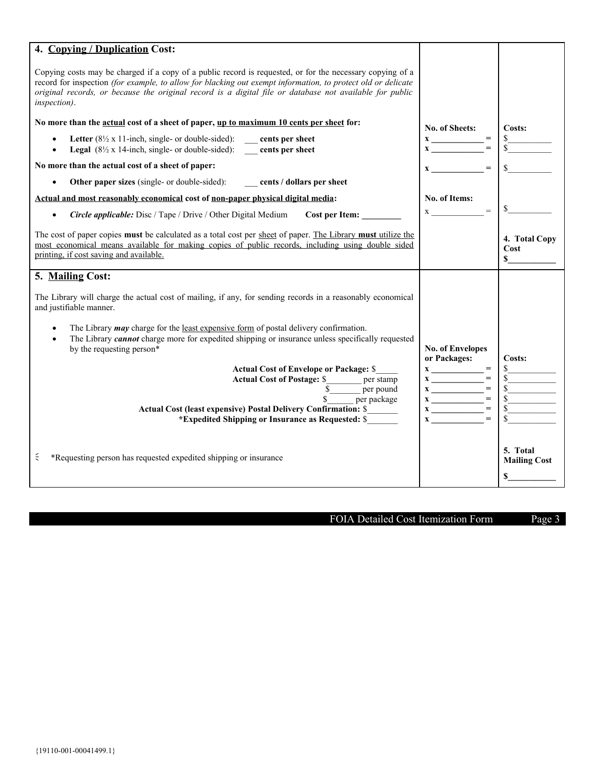| 4. Copying / Duplication Cost:                                                                                                                                                                                                                                                                                                                       |                                                                |                                         |
|------------------------------------------------------------------------------------------------------------------------------------------------------------------------------------------------------------------------------------------------------------------------------------------------------------------------------------------------------|----------------------------------------------------------------|-----------------------------------------|
| Copying costs may be charged if a copy of a public record is requested, or for the necessary copying of a<br>record for inspection (for example, to allow for blacking out exempt information, to protect old or delicate<br>original records, or because the original record is a digital file or database not available for public<br>inspection). |                                                                |                                         |
| No more than the actual cost of a sheet of paper, up to maximum 10 cents per sheet for:                                                                                                                                                                                                                                                              | No. of Sheets:                                                 | Costs:                                  |
| Letter $(8\frac{1}{2} \times 11$ -inch, single- or double-sided): _____ cents per sheet<br>$\bullet$<br><b>Legal</b> $(8\frac{1}{2} \times 14$ -inch, single- or double-sided): cents per sheet                                                                                                                                                      | $\frac{x}{x}$ =                                                |                                         |
| No more than the actual cost of a sheet of paper:                                                                                                                                                                                                                                                                                                    | $\mathbf{x} = \parallel \mathbf{\$}$                           |                                         |
| Other paper sizes (single- or double-sided): cents / dollars per sheet                                                                                                                                                                                                                                                                               |                                                                |                                         |
| Actual and most reasonably economical cost of non-paper physical digital media:                                                                                                                                                                                                                                                                      | No. of Items:                                                  |                                         |
| <b>Circle applicable:</b> Disc / Tape / Drive / Other Digital Medium<br>Cost per Item:<br>$\bullet$                                                                                                                                                                                                                                                  | $=$ $\overline{ }$<br>$\mathbf X$ . The same state $\mathbf X$ | $\mathbb{S}$                            |
| The cost of paper copies must be calculated as a total cost per sheet of paper. The Library must utilize the<br>most economical means available for making copies of public records, including using double sided<br>printing, if cost saving and available.                                                                                         |                                                                | 4. Total Copy<br>Cost<br>$\mathbf{s}$   |
| 5. Mailing Cost:                                                                                                                                                                                                                                                                                                                                     |                                                                |                                         |
| The Library will charge the actual cost of mailing, if any, for sending records in a reasonably economical<br>and justifiable manner.                                                                                                                                                                                                                |                                                                |                                         |
| The Library <i>may</i> charge for the <u>least expensive form</u> of postal delivery confirmation.<br>The Library cannot charge more for expedited shipping or insurance unless specifically requested<br>by the requesting person*                                                                                                                  | <b>No. of Envelopes</b><br>or Packages:                        | Costs:                                  |
| <b>Actual Cost of Envelope or Package: \$</b>                                                                                                                                                                                                                                                                                                        | $\mathbf{x}$                                                   | \$                                      |
| Actual Cost of Postage: \$_______ per stamp<br>$\sqrt{$\bullet$}$ per pound                                                                                                                                                                                                                                                                          | $\mathbf{x}$<br>$\mathbf{x}$                                   | $= 5$<br>$=$ $\frac{1}{s}$              |
| \$______ per package<br>Actual Cost (least expensive) Postal Delivery Confirmation: \$                                                                                                                                                                                                                                                               | $\mathbf{x}$<br>$\mathbf{x}$                                   | $\frac{1}{1} = \frac{1}{1}$<br>$= 1$ \$ |
| *Expedited Shipping or Insurance as Requested: \$                                                                                                                                                                                                                                                                                                    | $\mathbf{x}$ = $\mathbf{y}$                                    |                                         |
|                                                                                                                                                                                                                                                                                                                                                      |                                                                |                                         |
| Ξ<br>*Requesting person has requested expedited shipping or insurance                                                                                                                                                                                                                                                                                |                                                                | 5. Total<br><b>Mailing Cost</b>         |

## FOIA Detailed Cost Itemization Form Page 3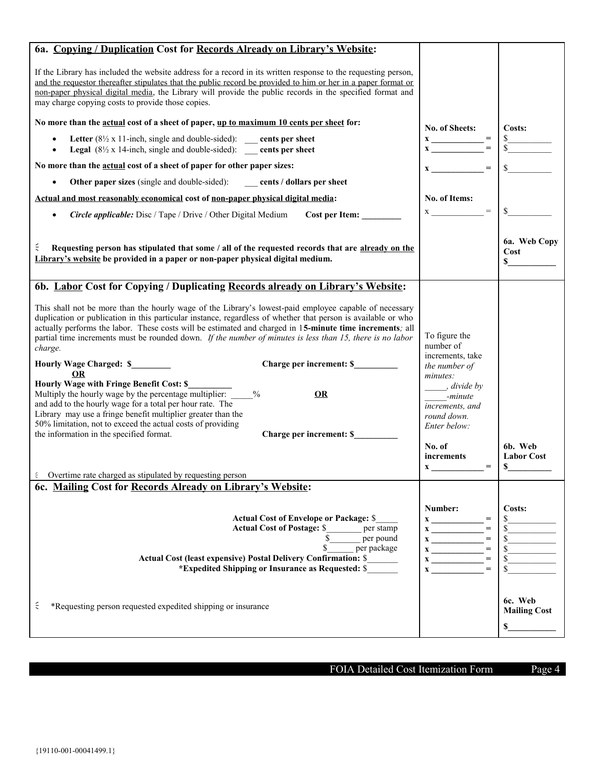| 6a. Copying / Duplication Cost for Records Already on Library's Website:                                                                                                                                                                                                                                                                                                                                                                                                                                                                                                                                                                                                                                                                                                                                                                                                                                                                                                            |                                                                                                                                                                                                                      |                                      |
|-------------------------------------------------------------------------------------------------------------------------------------------------------------------------------------------------------------------------------------------------------------------------------------------------------------------------------------------------------------------------------------------------------------------------------------------------------------------------------------------------------------------------------------------------------------------------------------------------------------------------------------------------------------------------------------------------------------------------------------------------------------------------------------------------------------------------------------------------------------------------------------------------------------------------------------------------------------------------------------|----------------------------------------------------------------------------------------------------------------------------------------------------------------------------------------------------------------------|--------------------------------------|
| If the Library has included the website address for a record in its written response to the requesting person,<br>and the requestor thereafter stipulates that the public record be provided to him or her in a paper format or<br>non-paper physical digital media, the Library will provide the public records in the specified format and<br>may charge copying costs to provide those copies.                                                                                                                                                                                                                                                                                                                                                                                                                                                                                                                                                                                   |                                                                                                                                                                                                                      |                                      |
| No more than the actual cost of a sheet of paper, up to maximum 10 cents per sheet for:                                                                                                                                                                                                                                                                                                                                                                                                                                                                                                                                                                                                                                                                                                                                                                                                                                                                                             | No. of Sheets:                                                                                                                                                                                                       | Costs:                               |
| Letter $(8\frac{1}{2} \times 11$ -inch, single and double-sided): _____ cents per sheet<br><b>Legal</b> $(8\frac{1}{2} \times 14$ -inch, single and double-sided): cents per sheet                                                                                                                                                                                                                                                                                                                                                                                                                                                                                                                                                                                                                                                                                                                                                                                                  | $\frac{x}{x}$ = $\frac{1}{x}$ = $\frac{1}{x}$                                                                                                                                                                        | $\frac{\S}{\S}$                      |
| No more than the actual cost of a sheet of paper for other paper sizes:                                                                                                                                                                                                                                                                                                                                                                                                                                                                                                                                                                                                                                                                                                                                                                                                                                                                                                             | $\mathbf{x}$ = $\mathbf{s}$                                                                                                                                                                                          |                                      |
| Other paper sizes (single and double-sided): cents / dollars per sheet<br>$\bullet$                                                                                                                                                                                                                                                                                                                                                                                                                                                                                                                                                                                                                                                                                                                                                                                                                                                                                                 |                                                                                                                                                                                                                      |                                      |
| Actual and most reasonably economical cost of non-paper physical digital media:                                                                                                                                                                                                                                                                                                                                                                                                                                                                                                                                                                                                                                                                                                                                                                                                                                                                                                     | No. of Items:                                                                                                                                                                                                        |                                      |
| <b>Circle applicable:</b> Disc / Tape / Drive / Other Digital Medium<br>Cost per Item:                                                                                                                                                                                                                                                                                                                                                                                                                                                                                                                                                                                                                                                                                                                                                                                                                                                                                              | $=$                                                                                                                                                                                                                  | $\mathbb{S}$                         |
| ξ<br>Requesting person has stipulated that some / all of the requested records that are already on the<br>Library's website be provided in a paper or non-paper physical digital medium.                                                                                                                                                                                                                                                                                                                                                                                                                                                                                                                                                                                                                                                                                                                                                                                            |                                                                                                                                                                                                                      | 6a. Web Copy<br>Cost<br>$\mathbf S$  |
| 6b. Labor Cost for Copying / Duplicating Records already on Library's Website:                                                                                                                                                                                                                                                                                                                                                                                                                                                                                                                                                                                                                                                                                                                                                                                                                                                                                                      |                                                                                                                                                                                                                      |                                      |
| This shall not be more than the hourly wage of the Library's lowest-paid employee capable of necessary<br>duplication or publication in this particular instance, regardless of whether that person is available or who<br>actually performs the labor. These costs will be estimated and charged in 15-minute time increments; all<br>partial time increments must be rounded down. If the number of minutes is less than 15, there is no labor<br>charge.<br>Hourly Wage Charged: \$<br>OR<br>Hourly Wage with Fringe Benefit Cost: \$<br>Multiply the hourly wage by the percentage multiplier: %<br><b>OR</b><br>and add to the hourly wage for a total per hour rate. The<br>Library may use a fringe benefit multiplier greater than the<br>50% limitation, not to exceed the actual costs of providing<br>the information in the specified format.<br>Overtime rate charged as stipulated by requesting person<br>6c. Mailing Cost for Records Already on Library's Website: | To figure the<br>number of<br>increments, take<br>the number of<br>minutes:<br>$\frac{1}{\sqrt{2}}$ , divide by<br>-minute<br>increments, and<br>round down.<br>Enter below:<br>No. of<br>increments<br>$\mathbf{x}$ | 6b. Web<br><b>Labor Cost</b><br>\$   |
|                                                                                                                                                                                                                                                                                                                                                                                                                                                                                                                                                                                                                                                                                                                                                                                                                                                                                                                                                                                     |                                                                                                                                                                                                                      |                                      |
| <b>Actual Cost of Envelope or Package: \$</b><br><b>Actual Cost of Postage:</b> \$ per stamp<br>per pound<br>\$<br>per package<br>Actual Cost (least expensive) Postal Delivery Confirmation: \$<br>*Expedited Shipping or Insurance as Requested: \$                                                                                                                                                                                                                                                                                                                                                                                                                                                                                                                                                                                                                                                                                                                               | Number:<br>$\mathbf{x}$<br>$\mathbf{x}$<br>$=$<br>$\mathbf{x}$<br>$=$<br>$\mathbf{x}$<br>$=$<br>$\mathbf{x}$                                                                                                         | Costs:<br>\$                         |
| ξ<br>*Requesting person requested expedited shipping or insurance                                                                                                                                                                                                                                                                                                                                                                                                                                                                                                                                                                                                                                                                                                                                                                                                                                                                                                                   |                                                                                                                                                                                                                      | 6c. Web<br><b>Mailing Cost</b><br>\$ |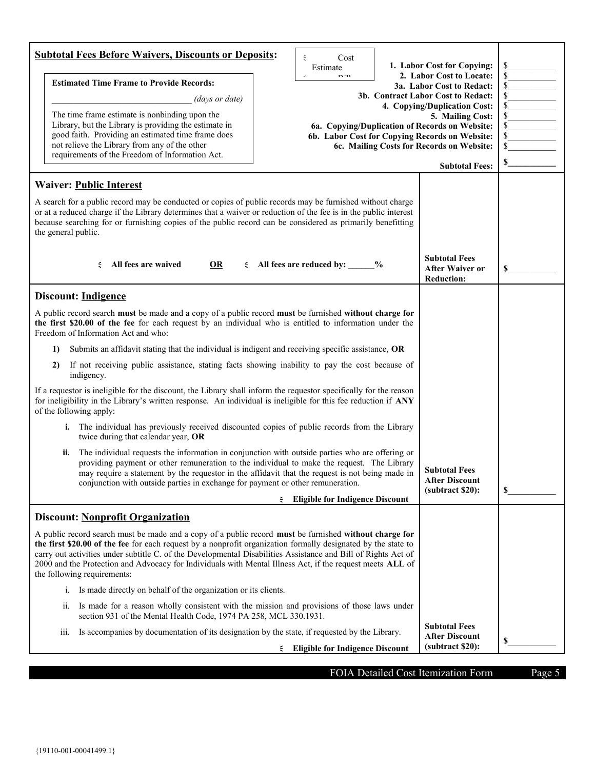| <b>Subtotal Fees Before Waivers, Discounts or Deposits:</b><br>$\tilde{z}$<br>Cost<br>1. Labor Cost for Copying:<br>Estimate                                                                                                                                                                                                                                               |    |  |
|----------------------------------------------------------------------------------------------------------------------------------------------------------------------------------------------------------------------------------------------------------------------------------------------------------------------------------------------------------------------------|----|--|
| 2. Labor Cost to Locate:<br>73.11<br><b>Estimated Time Frame to Provide Records:</b><br>3a. Labor Cost to Redact:                                                                                                                                                                                                                                                          |    |  |
| 3b. Contract Labor Cost to Redact:<br>(days or date)                                                                                                                                                                                                                                                                                                                       |    |  |
| 4. Copying/Duplication Cost:<br>The time frame estimate is nonbinding upon the<br>5. Mailing Cost:                                                                                                                                                                                                                                                                         |    |  |
| Library, but the Library is providing the estimate in<br>6a. Copying/Duplication of Records on Website:<br>good faith. Providing an estimated time frame does                                                                                                                                                                                                              |    |  |
| 6b. Labor Cost for Copying Records on Website:<br>not relieve the Library from any of the other<br>6c. Mailing Costs for Records on Website:                                                                                                                                                                                                                               | S. |  |
| requirements of the Freedom of Information Act.<br><b>Subtotal Fees:</b>                                                                                                                                                                                                                                                                                                   | \$ |  |
| <b>Waiver: Public Interest</b>                                                                                                                                                                                                                                                                                                                                             |    |  |
| A search for a public record may be conducted or copies of public records may be furnished without charge<br>or at a reduced charge if the Library determines that a waiver or reduction of the fee is in the public interest<br>because searching for or furnishing copies of the public record can be considered as primarily benefitting<br>the general public.         |    |  |
| <b>Subtotal Fees</b><br>All fees are waived<br>$\Omega$<br>$\epsilon$ All fees are reduced by:<br>$\frac{6}{9}$<br>€<br><b>After Waiver or</b><br><b>Reduction:</b>                                                                                                                                                                                                        |    |  |
| <b>Discount: Indigence</b>                                                                                                                                                                                                                                                                                                                                                 |    |  |
| A public record search must be made and a copy of a public record must be furnished without charge for<br>the first \$20.00 of the fee for each request by an individual who is entitled to information under the<br>Freedom of Information Act and who:                                                                                                                   |    |  |
| Submits an affidavit stating that the individual is indigent and receiving specific assistance, OR<br>1)                                                                                                                                                                                                                                                                   |    |  |
| If not receiving public assistance, stating facts showing inability to pay the cost because of<br>2)<br>indigency.                                                                                                                                                                                                                                                         |    |  |
| If a requestor is ineligible for the discount, the Library shall inform the requestor specifically for the reason<br>for ineligibility in the Library's written response. An individual is ineligible for this fee reduction if ANY<br>of the following apply:                                                                                                             |    |  |
| i. The individual has previously received discounted copies of public records from the Library<br>twice during that calendar year, OR                                                                                                                                                                                                                                      |    |  |
| The individual requests the information in conjunction with outside parties who are offering or<br>ii.                                                                                                                                                                                                                                                                     |    |  |
| providing payment or other remuneration to the individual to make the request. The Library<br><b>Subtotal Fees</b><br>may require a statement by the requestor in the affidavit that the request is not being made in<br>After Discount<br>conjunction with outside parties in exchange for payment or other remuneration.                                                 |    |  |
| $subtract$ \$20):<br><b>Eligible for Indigence Discount</b><br>€                                                                                                                                                                                                                                                                                                           |    |  |
| <b>Discount: Nonprofit Organization</b>                                                                                                                                                                                                                                                                                                                                    |    |  |
| A public record search must be made and a copy of a public record must be furnished without charge for                                                                                                                                                                                                                                                                     |    |  |
| the first \$20.00 of the fee for each request by a nonprofit organization formally designated by the state to<br>carry out activities under subtitle C. of the Developmental Disabilities Assistance and Bill of Rights Act of<br>2000 and the Protection and Advocacy for Individuals with Mental Illness Act, if the request meets ALL of<br>the following requirements: |    |  |
| Is made directly on behalf of the organization or its clients.                                                                                                                                                                                                                                                                                                             |    |  |
| Is made for a reason wholly consistent with the mission and provisions of those laws under<br>11.<br>section 931 of the Mental Health Code, 1974 PA 258, MCL 330.1931.                                                                                                                                                                                                     |    |  |
| <b>Subtotal Fees</b><br>Is accompanies by documentation of its designation by the state, if requested by the Library.<br>111.<br><b>After Discount</b>                                                                                                                                                                                                                     |    |  |
| $subtract$ \$20):<br><b>Eligible for Indigence Discount</b><br>€                                                                                                                                                                                                                                                                                                           | \$ |  |

FOIA Detailed Cost Itemization Form Page 5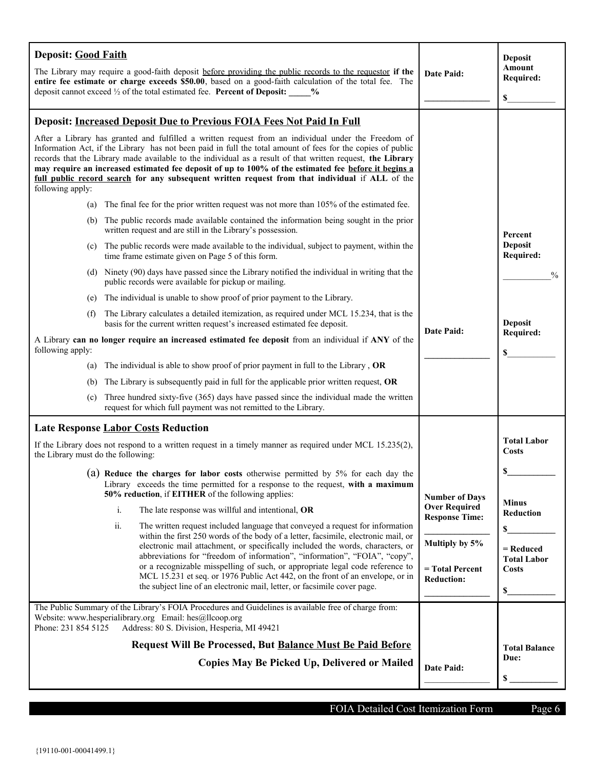| <b>Deposit: Good Faith</b><br>The Library may require a good-faith deposit before providing the public records to the requestor if the<br>entire fee estimate or charge exceeds \$50.00, based on a good-faith calculation of the total fee. The<br>deposit cannot exceed $\frac{1}{2}$ of the total estimated fee. Percent of Deposit: $\_\_\_\%$                                                                                                                                                                                                              |                                                                                                                                                                                                                             | Date Paid:                                    | Deposit<br>Amount<br><b>Required:</b><br>\$ |
|-----------------------------------------------------------------------------------------------------------------------------------------------------------------------------------------------------------------------------------------------------------------------------------------------------------------------------------------------------------------------------------------------------------------------------------------------------------------------------------------------------------------------------------------------------------------|-----------------------------------------------------------------------------------------------------------------------------------------------------------------------------------------------------------------------------|-----------------------------------------------|---------------------------------------------|
|                                                                                                                                                                                                                                                                                                                                                                                                                                                                                                                                                                 | <b>Deposit: Increased Deposit Due to Previous FOIA Fees Not Paid In Full</b>                                                                                                                                                |                                               |                                             |
| After a Library has granted and fulfilled a written request from an individual under the Freedom of<br>Information Act, if the Library has not been paid in full the total amount of fees for the copies of public<br>records that the Library made available to the individual as a result of that written request, the Library<br>may require an increased estimated fee deposit of up to 100% of the estimated fee before it begins a<br>full public record search for any subsequent written request from that individual if ALL of the<br>following apply: |                                                                                                                                                                                                                             |                                               |                                             |
| (a)                                                                                                                                                                                                                                                                                                                                                                                                                                                                                                                                                             | The final fee for the prior written request was not more than 105% of the estimated fee.                                                                                                                                    |                                               |                                             |
| (b)                                                                                                                                                                                                                                                                                                                                                                                                                                                                                                                                                             | The public records made available contained the information being sought in the prior<br>written request and are still in the Library's possession.                                                                         |                                               | Percent                                     |
| (c)                                                                                                                                                                                                                                                                                                                                                                                                                                                                                                                                                             | The public records were made available to the individual, subject to payment, within the<br>time frame estimate given on Page 5 of this form.                                                                               |                                               | <b>Deposit</b><br><b>Required:</b>          |
|                                                                                                                                                                                                                                                                                                                                                                                                                                                                                                                                                                 | (d) Ninety (90) days have passed since the Library notified the individual in writing that the<br>public records were available for pickup or mailing.                                                                      |                                               | $\frac{0}{0}$                               |
| (e)                                                                                                                                                                                                                                                                                                                                                                                                                                                                                                                                                             | The individual is unable to show proof of prior payment to the Library.                                                                                                                                                     |                                               |                                             |
| (f)                                                                                                                                                                                                                                                                                                                                                                                                                                                                                                                                                             | The Library calculates a detailed itemization, as required under MCL 15.234, that is the<br>basis for the current written request's increased estimated fee deposit.                                                        | Date Paid:                                    | <b>Deposit</b>                              |
| following apply:                                                                                                                                                                                                                                                                                                                                                                                                                                                                                                                                                | A Library can no longer require an increased estimated fee deposit from an individual if ANY of the                                                                                                                         |                                               | <b>Required:</b><br>\$                      |
| (a)                                                                                                                                                                                                                                                                                                                                                                                                                                                                                                                                                             | The individual is able to show proof of prior payment in full to the Library, OR                                                                                                                                            |                                               |                                             |
| (b)                                                                                                                                                                                                                                                                                                                                                                                                                                                                                                                                                             | The Library is subsequently paid in full for the applicable prior written request, OR                                                                                                                                       |                                               |                                             |
| (c)                                                                                                                                                                                                                                                                                                                                                                                                                                                                                                                                                             | Three hundred sixty-five (365) days have passed since the individual made the written<br>request for which full payment was not remitted to the Library.                                                                    |                                               |                                             |
|                                                                                                                                                                                                                                                                                                                                                                                                                                                                                                                                                                 | <b>Late Response Labor Costs Reduction</b>                                                                                                                                                                                  |                                               |                                             |
| the Library must do the following:                                                                                                                                                                                                                                                                                                                                                                                                                                                                                                                              | If the Library does not respond to a written request in a timely manner as required under MCL 15.235(2),                                                                                                                    |                                               | <b>Total Labor</b><br><b>Costs</b>          |
|                                                                                                                                                                                                                                                                                                                                                                                                                                                                                                                                                                 | (a) Reduce the charges for labor costs otherwise permitted by 5% for each day the<br>Library exceeds the time permitted for a response to the request, with a maximum<br>50% reduction, if EITHER of the following applies: | <b>Number of Days</b>                         | \$                                          |
|                                                                                                                                                                                                                                                                                                                                                                                                                                                                                                                                                                 | i.<br>The late response was willful and intentional, OR                                                                                                                                                                     | <b>Over Required</b><br><b>Response Time:</b> | <b>Minus</b><br><b>Reduction</b>            |
|                                                                                                                                                                                                                                                                                                                                                                                                                                                                                                                                                                 | ii.<br>The written request included language that conveyed a request for information                                                                                                                                        |                                               | \$                                          |
|                                                                                                                                                                                                                                                                                                                                                                                                                                                                                                                                                                 | within the first 250 words of the body of a letter, facsimile, electronic mail, or<br>electronic mail attachment, or specifically included the words, characters, or                                                        | Multiply by 5%                                | = Reduced                                   |
|                                                                                                                                                                                                                                                                                                                                                                                                                                                                                                                                                                 | abbreviations for "freedom of information", "information", "FOIA", "copy",<br>or a recognizable misspelling of such, or appropriate legal code reference to                                                                 | = Total Percent                               | <b>Total Labor</b><br><b>Costs</b>          |
|                                                                                                                                                                                                                                                                                                                                                                                                                                                                                                                                                                 | MCL 15.231 et seq. or 1976 Public Act 442, on the front of an envelope, or in<br>the subject line of an electronic mail, letter, or facsimile cover page.                                                                   | <b>Reduction:</b>                             |                                             |
|                                                                                                                                                                                                                                                                                                                                                                                                                                                                                                                                                                 | The Public Summary of the Library's FOIA Procedures and Guidelines is available free of charge from:                                                                                                                        |                                               | \$                                          |
| Phone: 231 854 5125                                                                                                                                                                                                                                                                                                                                                                                                                                                                                                                                             | Website: www.hesperialibrary.org Email: hes@llcoop.org<br>Address: 80 S. Division, Hesperia, MI 49421                                                                                                                       |                                               |                                             |
|                                                                                                                                                                                                                                                                                                                                                                                                                                                                                                                                                                 | Request Will Be Processed, But Balance Must Be Paid Before                                                                                                                                                                  |                                               | <b>Total Balance</b>                        |
|                                                                                                                                                                                                                                                                                                                                                                                                                                                                                                                                                                 | Copies May Be Picked Up, Delivered or Mailed                                                                                                                                                                                | Date Paid:                                    | Due:                                        |
|                                                                                                                                                                                                                                                                                                                                                                                                                                                                                                                                                                 |                                                                                                                                                                                                                             |                                               | \$                                          |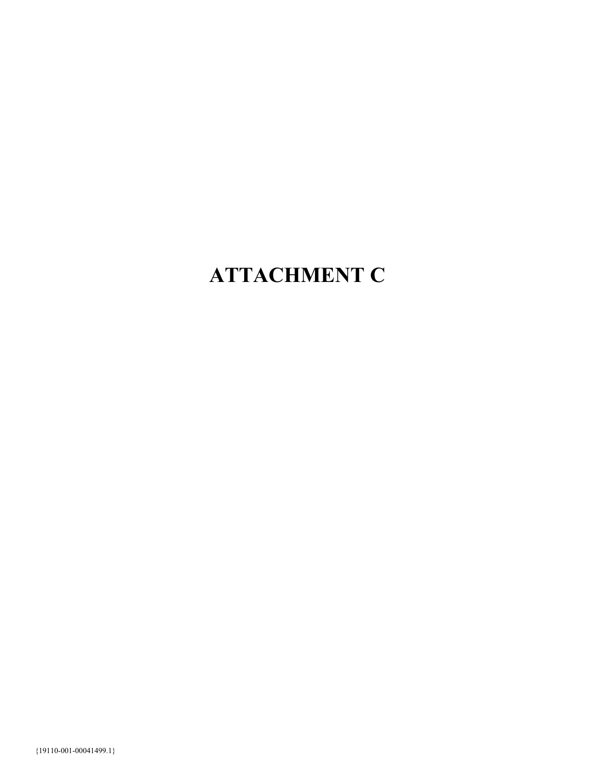# **ATTACHMENT C**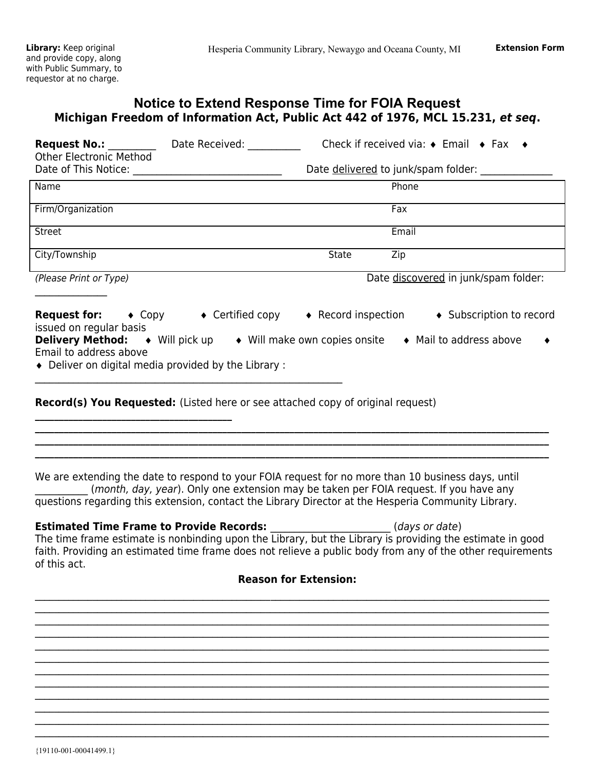**Extension Form**

# **Notice to Extend Response Time for FOIA Request Michigan Freedom of Information Act, Public Act 442 of 1976, MCL 15.231, et seq.**

| <b>Request No.:</b><br><b>Other Electronic Method</b> | Date Received:                                      | Check if received via: $\bullet$ Email $\bullet$ Fax $\bullet$                                                                                                                                                                                                                                     |  |
|-------------------------------------------------------|-----------------------------------------------------|----------------------------------------------------------------------------------------------------------------------------------------------------------------------------------------------------------------------------------------------------------------------------------------------------|--|
| Date of This Notice:                                  |                                                     | Date delivered to junk/spam folder:                                                                                                                                                                                                                                                                |  |
| Name                                                  | Phone                                               |                                                                                                                                                                                                                                                                                                    |  |
| Firm/Organization                                     |                                                     | Fax                                                                                                                                                                                                                                                                                                |  |
| Street                                                |                                                     | Email                                                                                                                                                                                                                                                                                              |  |
| City/Township                                         |                                                     | Zip<br>State                                                                                                                                                                                                                                                                                       |  |
| (Please Print or Type)                                |                                                     | Date discovered in junk/spam folder:                                                                                                                                                                                                                                                               |  |
| issued on regular basis<br>Email to address above     | ◆ Deliver on digital media provided by the Library: | <b>Request for:</b> $\bullet$ Copy $\bullet$ Certified copy $\bullet$ Record inspection<br>• Subscription to record<br><b>Delivery Method:</b> $\rightarrow$ Will pick up $\rightarrow$ Will make own copies onsite $\rightarrow$ Mail to address above                                            |  |
|                                                       |                                                     | <b>Record(s) You Requested:</b> (Listed here or see attached copy of original request)                                                                                                                                                                                                             |  |
|                                                       |                                                     | We are extending the date to respond to your FOIA request for no more than 10 business days, until<br>(month, day, year). Only one extension may be taken per FOIA request. If you have any<br>questions regarding this extension, contact the Library Director at the Hesperia Community Library. |  |
| of this act.                                          | <b>Estimated Time Frame to Provide Records:</b>     | (days or date)<br>The time frame estimate is nonbinding upon the Library, but the Library is providing the estimate in good<br>faith. Providing an estimated time frame does not relieve a public body from any of the other requirements                                                          |  |
|                                                       |                                                     | <b>Reason for Extension:</b>                                                                                                                                                                                                                                                                       |  |
|                                                       |                                                     |                                                                                                                                                                                                                                                                                                    |  |
|                                                       |                                                     |                                                                                                                                                                                                                                                                                                    |  |
|                                                       |                                                     |                                                                                                                                                                                                                                                                                                    |  |
|                                                       |                                                     |                                                                                                                                                                                                                                                                                                    |  |
|                                                       |                                                     |                                                                                                                                                                                                                                                                                                    |  |

 $\_$  , and the set of the set of the set of the set of the set of the set of the set of the set of the set of the set of the set of the set of the set of the set of the set of the set of the set of the set of the set of th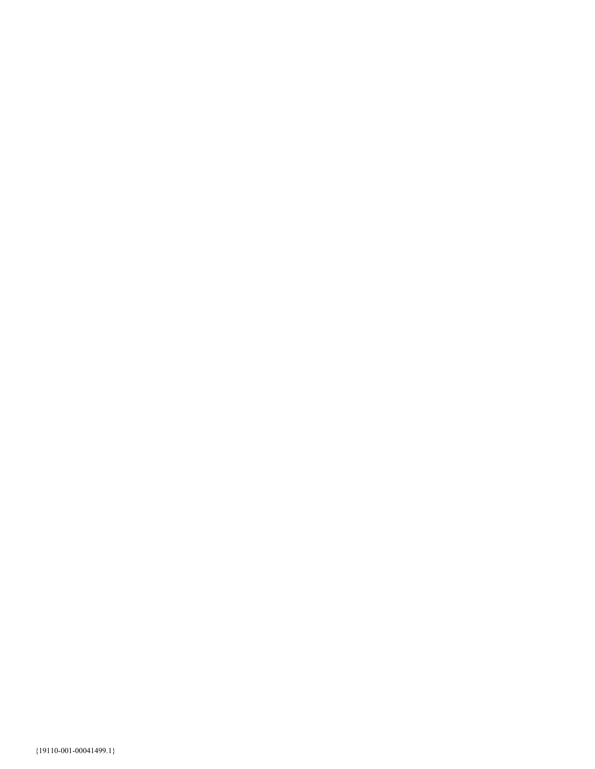{19110-001-00041499.1}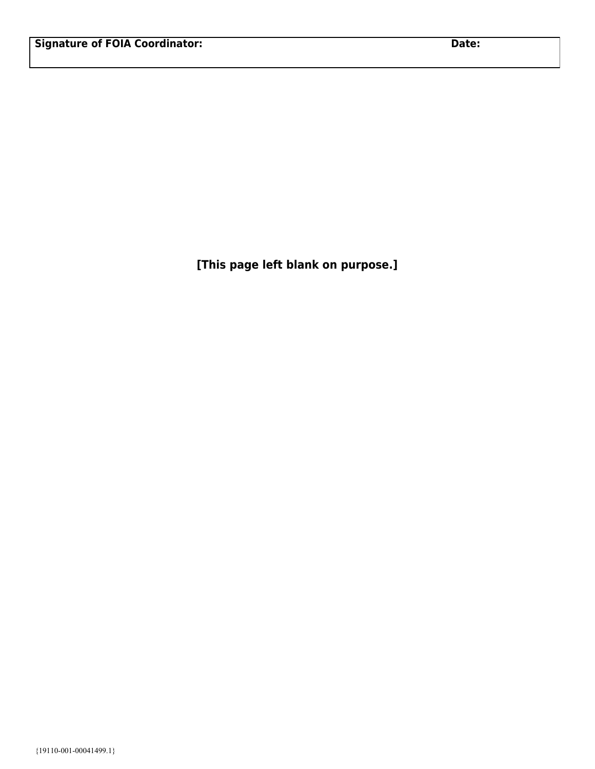**[This page left blank on purpose.]**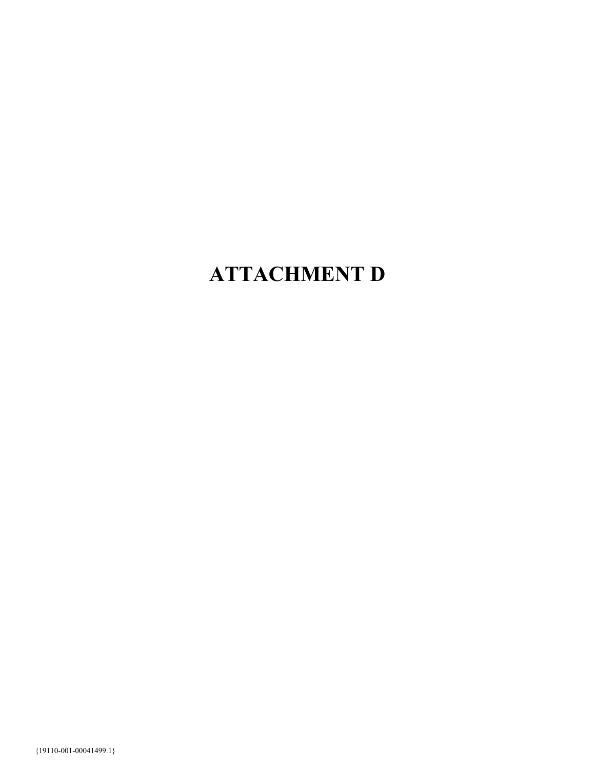# **ATTACHMENT D**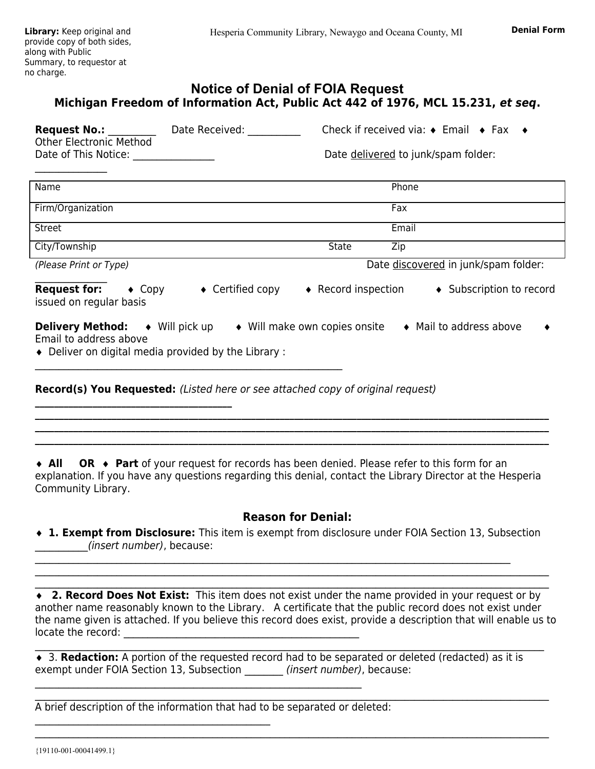# **Notice of Denial of FOIA Request Michigan Freedom of Information Act, Public Act 442 of 1976, MCL 15.231, et seq.**

| <b>Request No.:</b><br><b>Other Electronic Method</b><br>Date of This Notice:          | Date Received:                                                                         |       | Check if received via: $\bullet$ Email $\bullet$ Fax $\bullet$<br>Date delivered to junk/spam folder:                            |
|----------------------------------------------------------------------------------------|----------------------------------------------------------------------------------------|-------|----------------------------------------------------------------------------------------------------------------------------------|
| Name                                                                                   |                                                                                        |       | Phone                                                                                                                            |
| Firm/Organization                                                                      |                                                                                        |       | Fax                                                                                                                              |
| <b>Street</b>                                                                          |                                                                                        |       | Email                                                                                                                            |
| City/Township                                                                          |                                                                                        | State | Zip                                                                                                                              |
| (Please Print or Type)                                                                 |                                                                                        |       | Date discovered in junk/spam folder:                                                                                             |
| Request for: $\rightarrow$ Copy<br>issued on regular basis                             | $\bullet$ Certified copy                                                               |       | $\bullet$ Record inspection<br>♦ Subscription to record                                                                          |
| Email to address above<br>$\bullet$ Deliver on digital media provided by the Library : |                                                                                        |       | <b>Delivery Method:</b> $\rightarrow$ Will pick up $\rightarrow$ Will make own copies onsite $\rightarrow$ Mail to address above |
|                                                                                        | <b>Record(s) You Requested:</b> (Listed here or see attached copy of original request) |       |                                                                                                                                  |

**\_\_\_\_\_\_\_\_\_\_\_\_\_\_\_\_\_\_\_\_\_\_\_\_\_\_\_\_\_\_\_\_\_\_\_\_\_\_\_\_\_ \_\_\_\_\_\_\_\_\_\_\_\_\_\_\_\_\_\_\_\_\_\_\_\_\_\_\_\_\_\_\_\_\_\_\_\_\_\_\_\_\_\_\_\_\_\_\_\_\_\_\_\_\_\_\_\_\_\_\_\_\_\_\_\_\_\_\_\_\_\_\_\_\_\_\_\_\_\_\_\_\_\_\_\_\_\_\_\_\_\_\_\_\_\_\_\_\_\_\_\_\_\_\_\_\_\_\_**

◆ All OR ◆ Part of your request for records has been denied. Please refer to this form for an explanation. If you have any questions regarding this denial, contact the Library Director at the Hesperia Community Library.

**\_\_\_\_\_\_\_\_\_\_\_\_\_\_\_\_\_\_\_\_\_\_\_\_\_\_\_\_\_\_\_\_\_\_\_\_\_\_\_\_\_\_\_\_\_\_\_\_\_\_\_\_\_\_\_\_\_\_\_\_\_\_\_\_\_\_\_\_\_\_\_\_\_\_\_\_\_\_\_\_\_\_\_\_\_\_\_\_\_\_\_\_\_\_\_\_\_\_\_\_\_\_\_\_\_\_\_**

## **Reason for Denial:**

 **1. Exempt from Disclosure:** This item is exempt from disclosure under FOIA Section 13, Subsection (insert number), because:

 $\_$ 

 $\mathcal{L}_\text{max}$  , and the contribution of the contribution of the contribution of the contribution of the contribution of the contribution of the contribution of the contribution of the contribution of the contribution of t

 $\_$  **2. Record Does Not Exist:** This item does not exist under the name provided in your request or by another name reasonably known to the Library. A certificate that the public record does not exist under the name given is attached. If you believe this record does exist, provide a description that will enable us to locate the record:  $\Box$ 

 3. **Redaction:** A portion of the requested record had to be separated or deleted (redacted) as it is exempt under FOIA Section 13, Subsection \_\_\_\_\_\_\_\_ (insert number), because:

 $\_$ 

 $\_$ 

 $\_$  , and the set of the set of the set of the set of the set of the set of the set of the set of the set of the set of the set of the set of the set of the set of the set of the set of the set of the set of the set of th

A brief description of the information that had to be separated or deleted:

 $\mathcal{L}_\text{max} = \mathcal{L}_\text{max} = \mathcal{L}_\text{max} = \mathcal{L}_\text{max} = \mathcal{L}_\text{max} = \mathcal{L}_\text{max} = \mathcal{L}_\text{max} = \mathcal{L}_\text{max} = \mathcal{L}_\text{max} = \mathcal{L}_\text{max} = \mathcal{L}_\text{max} = \mathcal{L}_\text{max} = \mathcal{L}_\text{max} = \mathcal{L}_\text{max} = \mathcal{L}_\text{max} = \mathcal{L}_\text{max} = \mathcal{L}_\text{max} = \mathcal{L}_\text{max} = \mathcal{$ 

 $\mathcal{L}_\text{G}$ 

**Denial Form**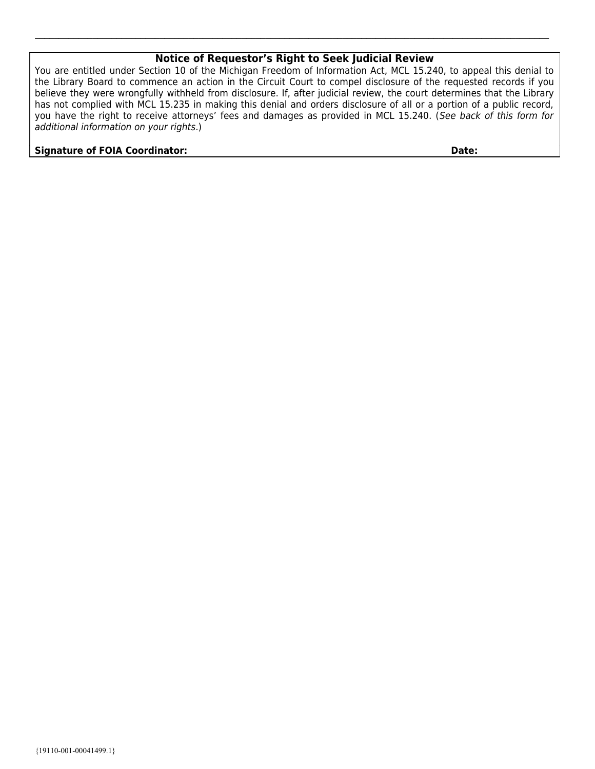## **Notice of Requestor's Right to Seek Judicial Review**

 $\_$ 

You are entitled under Section 10 of the Michigan Freedom of Information Act, MCL 15.240, to appeal this denial to the Library Board to commence an action in the Circuit Court to compel disclosure of the requested records if you believe they were wrongfully withheld from disclosure. If, after judicial review, the court determines that the Library has not complied with MCL 15.235 in making this denial and orders disclosure of all or a portion of a public record, you have the right to receive attorneys' fees and damages as provided in MCL 15.240. (See back of this form for additional information on your rights.)

**Signature of FOIA Coordinator: Date:**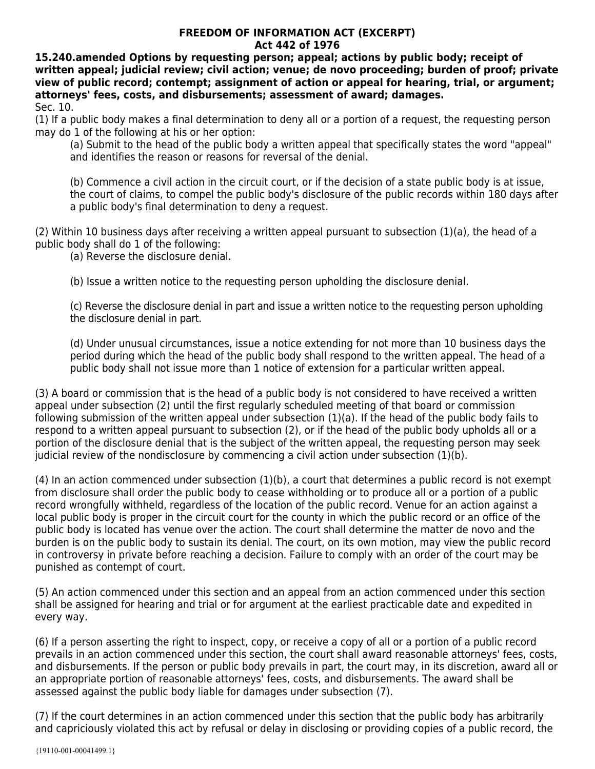### **FREEDOM OF INFORMATION ACT (EXCERPT) Act 442 of 1976**

**15.240.amended Options by requesting person; appeal; actions by public body; receipt of written appeal; judicial review; civil action; venue; de novo proceeding; burden of proof; private view of public record; contempt; assignment of action or appeal for hearing, trial, or argument; attorneys' fees, costs, and disbursements; assessment of award; damages.** Sec. 10.

(1) If a public body makes a final determination to deny all or a portion of a request, the requesting person

may do 1 of the following at his or her option: (a) Submit to the head of the public body a written appeal that specifically states the word "appeal" and identifies the reason or reasons for reversal of the denial.

(b) Commence a civil action in the circuit court, or if the decision of a state public body is at issue, the court of claims, to compel the public body's disclosure of the public records within 180 days after a public body's final determination to deny a request.

(2) Within 10 business days after receiving a written appeal pursuant to subsection (1)(a), the head of a public body shall do 1 of the following:

(a) Reverse the disclosure denial.

(b) Issue a written notice to the requesting person upholding the disclosure denial.

(c) Reverse the disclosure denial in part and issue a written notice to the requesting person upholding the disclosure denial in part.

(d) Under unusual circumstances, issue a notice extending for not more than 10 business days the period during which the head of the public body shall respond to the written appeal. The head of a public body shall not issue more than 1 notice of extension for a particular written appeal.

(3) A board or commission that is the head of a public body is not considered to have received a written appeal under subsection (2) until the first regularly scheduled meeting of that board or commission following submission of the written appeal under subsection (1)(a). If the head of the public body fails to respond to a written appeal pursuant to subsection (2), or if the head of the public body upholds all or a portion of the disclosure denial that is the subject of the written appeal, the requesting person may seek judicial review of the nondisclosure by commencing a civil action under subsection (1)(b).

(4) In an action commenced under subsection (1)(b), a court that determines a public record is not exempt from disclosure shall order the public body to cease withholding or to produce all or a portion of a public record wrongfully withheld, regardless of the location of the public record. Venue for an action against a local public body is proper in the circuit court for the county in which the public record or an office of the public body is located has venue over the action. The court shall determine the matter de novo and the burden is on the public body to sustain its denial. The court, on its own motion, may view the public record in controversy in private before reaching a decision. Failure to comply with an order of the court may be punished as contempt of court.

(5) An action commenced under this section and an appeal from an action commenced under this section shall be assigned for hearing and trial or for argument at the earliest practicable date and expedited in every way.

(6) If a person asserting the right to inspect, copy, or receive a copy of all or a portion of a public record prevails in an action commenced under this section, the court shall award reasonable attorneys' fees, costs, and disbursements. If the person or public body prevails in part, the court may, in its discretion, award all or an appropriate portion of reasonable attorneys' fees, costs, and disbursements. The award shall be assessed against the public body liable for damages under subsection (7).

(7) If the court determines in an action commenced under this section that the public body has arbitrarily and capriciously violated this act by refusal or delay in disclosing or providing copies of a public record, the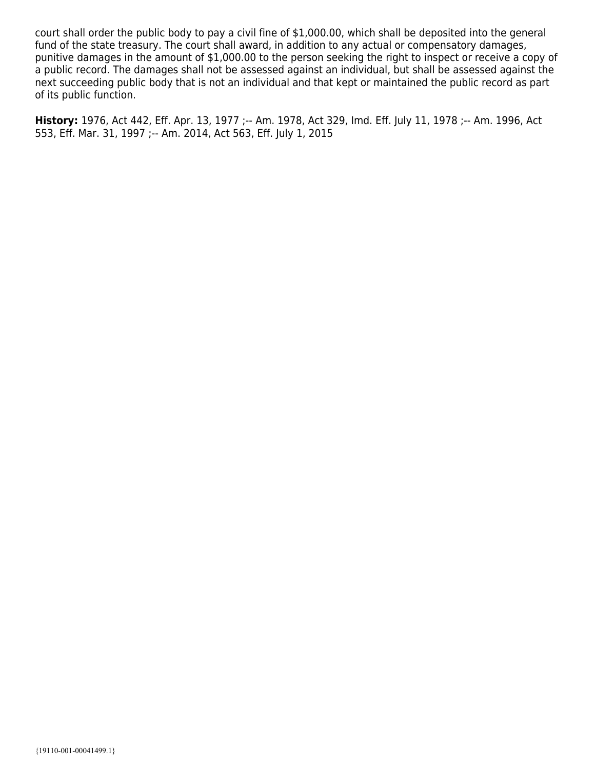court shall order the public body to pay a civil fine of \$1,000.00, which shall be deposited into the general fund of the state treasury. The court shall award, in addition to any actual or compensatory damages, punitive damages in the amount of \$1,000.00 to the person seeking the right to inspect or receive a copy of a public record. The damages shall not be assessed against an individual, but shall be assessed against the next succeeding public body that is not an individual and that kept or maintained the public record as part of its public function.

**History:** 1976, Act 442, Eff. Apr. 13, 1977 ;-- Am. 1978, Act 329, Imd. Eff. July 11, 1978 ;-- Am. 1996, Act 553, Eff. Mar. 31, 1997 ;-- Am. 2014, Act 563, Eff. July 1, 2015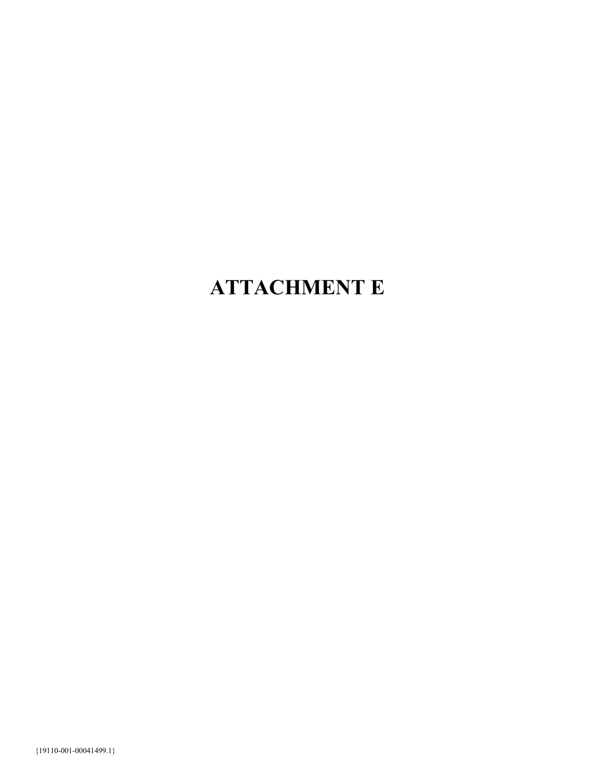# **ATTACHMENT E**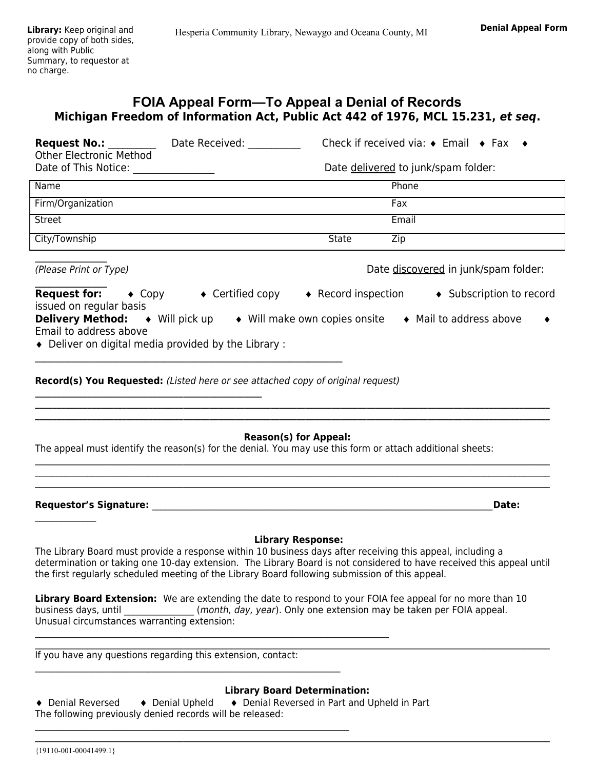# **FOIA Appeal Form—To Appeal a Denial of Records Michigan Freedom of Information Act, Public Act 442 of 1976, MCL 15.231, et seq.**

| <b>Request No.:</b><br><b>Other Electronic Method</b>                          | Date Received:                                                                               |                                     | Check if received via: $\bullet$ Email $\bullet$ Fax $\bullet$ |  |
|--------------------------------------------------------------------------------|----------------------------------------------------------------------------------------------|-------------------------------------|----------------------------------------------------------------|--|
| Date of This Notice:                                                           |                                                                                              | Date delivered to junk/spam folder: |                                                                |  |
| Name                                                                           |                                                                                              | Phone                               |                                                                |  |
| Firm/Organization                                                              |                                                                                              | Fax                                 |                                                                |  |
| <b>Street</b>                                                                  |                                                                                              | Email                               |                                                                |  |
| City/Township                                                                  |                                                                                              | <b>State</b>                        | Zip                                                            |  |
| (Please Print or Type)                                                         |                                                                                              |                                     | Date discovered in junk/spam folder:                           |  |
| <b>Request for:</b><br>$\triangle$ Copy<br>issued on regular basis             | $\bullet$ Certified copy                                                                     | $\bullet$ Record inspection         | ♦ Subscription to record                                       |  |
| Email to address above<br>◆ Deliver on digital media provided by the Library : | <b>Delivery Method:</b> $\rightarrow$ Will pick up $\rightarrow$ Will make own copies onsite |                                     | ◆ Mail to address above                                        |  |
|                                                                                | <b>Record(s) You Requested:</b> (Listed here or see attached copy of original request)       |                                     |                                                                |  |

#### **Reason(s) for Appeal:**

 $\_$  ,  $\_$  ,  $\_$  ,  $\_$  ,  $\_$  ,  $\_$  ,  $\_$  ,  $\_$  ,  $\_$  ,  $\_$  ,  $\_$  ,  $\_$  ,  $\_$  ,  $\_$  ,  $\_$  ,  $\_$  ,  $\_$  ,  $\_$  ,  $\_$  ,  $\_$  ,  $\_$  ,  $\_$  ,  $\_$  ,  $\_$  ,  $\_$  ,  $\_$  ,  $\_$  ,  $\_$  ,  $\_$  ,  $\_$  ,  $\_$  ,  $\_$  ,  $\_$  ,  $\_$  ,  $\_$  ,  $\_$  ,  $\_$  ,

 $\_$  ,  $\_$  ,  $\_$  ,  $\_$  ,  $\_$  ,  $\_$  ,  $\_$  ,  $\_$  ,  $\_$  ,  $\_$  ,  $\_$  ,  $\_$  ,  $\_$  ,  $\_$  ,  $\_$  ,  $\_$  ,  $\_$  ,  $\_$  ,  $\_$  ,  $\_$  ,  $\_$  ,  $\_$  ,  $\_$  ,  $\_$  ,  $\_$  ,  $\_$  ,  $\_$  ,  $\_$  ,  $\_$  ,  $\_$  ,  $\_$  ,  $\_$  ,  $\_$  ,  $\_$  ,  $\_$  ,  $\_$  ,  $\_$  ,

**\_\_\_\_\_\_\_\_\_\_\_\_\_\_\_\_\_\_\_\_\_\_\_\_\_\_\_\_\_\_\_\_\_\_\_\_\_\_\_\_\_\_\_\_\_\_\_\_\_\_\_\_\_\_\_\_\_\_\_\_\_\_\_\_\_\_\_\_\_\_\_\_\_\_\_\_\_\_\_\_\_\_\_\_\_\_\_\_\_\_\_\_\_\_\_\_\_\_\_\_\_\_\_\_\_\_\_\_\_\_\_\_\_\_\_\_\_\_ \_\_\_\_\_\_\_\_\_\_\_\_\_\_\_\_\_\_\_\_\_\_\_\_\_\_\_\_\_\_\_\_\_\_\_\_\_\_\_\_\_\_\_\_\_\_\_\_\_\_\_\_\_\_\_\_\_\_\_\_\_\_\_\_\_\_\_\_\_\_\_\_\_\_\_\_\_\_\_\_\_\_\_\_\_\_\_\_\_\_\_\_\_\_\_\_\_\_\_\_\_\_\_\_\_\_\_\_\_\_\_\_\_\_\_\_\_\_**

The appeal must identify the reason(s) for the denial. You may use this form or attach additional sheets:

#### **Requestor's Signature:** \_\_\_\_\_\_\_\_\_\_\_\_\_\_\_\_\_\_\_\_\_\_\_\_\_\_\_\_\_\_\_\_\_\_\_\_\_\_\_\_\_\_\_\_\_\_\_\_\_\_\_\_\_\_\_\_\_\_\_\_\_\_\_\_\_\_\_\_\_\_\_\_\_\_\_\_\_\_**Date:**

#### **Library Response:**

The Library Board must provide a response within 10 business days after receiving this appeal, including a determination or taking one 10-day extension. The Library Board is not considered to have received this appeal until the first regularly scheduled meeting of the Library Board following submission of this appeal.

**Library Board Extension:** We are extending the date to respond to your FOIA fee appeal for no more than 10 business days, until \_\_\_\_\_\_\_\_\_\_\_\_\_\_\_\_(month, day, year). Only one extension may be taken per FOIA appeal. Unusual circumstances warranting extension:

### If you have any questions regarding this extension, contact:

\_\_\_\_\_\_\_\_\_\_\_\_\_\_\_\_\_\_\_\_\_\_\_\_\_\_\_\_\_\_\_\_\_\_\_\_\_\_\_\_\_\_\_\_\_\_\_\_\_\_\_\_\_\_\_\_\_\_\_\_\_\_\_\_\_\_\_\_\_\_

**\_\_\_\_\_\_\_\_\_\_\_\_\_\_\_\_\_\_\_\_\_\_\_\_\_\_\_\_\_\_\_\_\_\_\_\_\_\_\_\_\_\_\_\_\_\_\_\_\_\_\_\_**

#### **Library Board Determination:**

 $\_$  ,  $\_$  ,  $\_$  ,  $\_$  ,  $\_$  ,  $\_$  ,  $\_$  ,  $\_$  ,  $\_$  ,  $\_$  ,  $\_$  ,  $\_$  ,  $\_$  ,  $\_$  ,  $\_$  ,  $\_$  ,  $\_$  ,  $\_$  ,  $\_$  ,  $\_$  ,  $\_$  ,  $\_$  ,  $\_$  ,  $\_$  ,  $\_$  ,  $\_$  ,  $\_$  ,  $\_$  ,  $\_$  ,  $\_$  ,  $\_$  ,  $\_$  ,  $\_$  ,  $\_$  ,  $\_$  ,  $\_$  ,  $\_$  ,

 $\_$  ,  $\_$  ,  $\_$  ,  $\_$  ,  $\_$  ,  $\_$  ,  $\_$  ,  $\_$  ,  $\_$  ,  $\_$  ,  $\_$  ,  $\_$  ,  $\_$  ,  $\_$  ,  $\_$  ,  $\_$  ,  $\_$  ,  $\_$  ,  $\_$  ,  $\_$  ,  $\_$  ,  $\_$  ,  $\_$  ,  $\_$  ,  $\_$  ,  $\_$  ,  $\_$  ,  $\_$  ,  $\_$  ,  $\_$  ,  $\_$  ,  $\_$  ,  $\_$  ,  $\_$  ,  $\_$  ,  $\_$  ,  $\_$  ,

◆ Denial Reversed → Denial Upheld → Denial Reversed in Part and Upheld in Part The following previously denied records will be released:

 $\mathcal{L}_\mathcal{L} = \{ \mathcal{L}_\mathcal{L} = \{ \mathcal{L}_\mathcal{L} = \{ \mathcal{L}_\mathcal{L} = \{ \mathcal{L}_\mathcal{L} = \{ \mathcal{L}_\mathcal{L} = \{ \mathcal{L}_\mathcal{L} = \{ \mathcal{L}_\mathcal{L} = \{ \mathcal{L}_\mathcal{L} = \{ \mathcal{L}_\mathcal{L} = \{ \mathcal{L}_\mathcal{L} = \{ \mathcal{L}_\mathcal{L} = \{ \mathcal{L}_\mathcal{L} = \{ \mathcal{L}_\mathcal{L} = \{ \mathcal{L}_\mathcal{$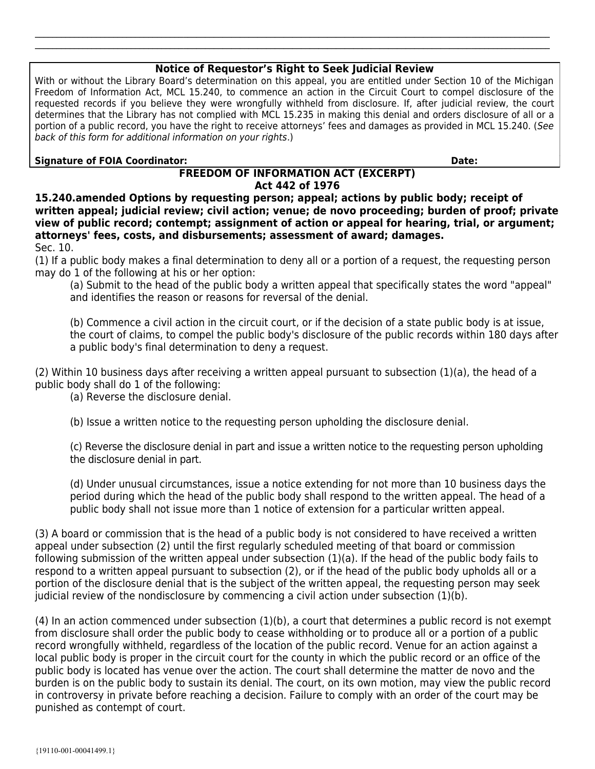## **Notice of Requestor's Right to Seek Judicial Review**

 $\_$  ,  $\_$  ,  $\_$  ,  $\_$  ,  $\_$  ,  $\_$  ,  $\_$  ,  $\_$  ,  $\_$  ,  $\_$  ,  $\_$  ,  $\_$  ,  $\_$  ,  $\_$  ,  $\_$  ,  $\_$  ,  $\_$  ,  $\_$  ,  $\_$  ,  $\_$  ,  $\_$  ,  $\_$  ,  $\_$  ,  $\_$  ,  $\_$  ,  $\_$  ,  $\_$  ,  $\_$  ,  $\_$  ,  $\_$  ,  $\_$  ,  $\_$  ,  $\_$  ,  $\_$  ,  $\_$  ,  $\_$  ,  $\_$  ,  $\_$  ,  $\_$  ,  $\_$  ,  $\_$  ,  $\_$  ,  $\_$  ,  $\_$  ,  $\_$  ,  $\_$  ,  $\_$  ,  $\_$  ,  $\_$  ,  $\_$  ,  $\_$  ,  $\_$  ,  $\_$  ,  $\_$  ,  $\_$  ,  $\_$  ,  $\_$  ,  $\_$  ,  $\_$  ,  $\_$  ,  $\_$  ,  $\_$  ,  $\_$  ,  $\_$  ,  $\_$  ,  $\_$  ,  $\_$  ,  $\_$  ,  $\_$  ,  $\_$  ,  $\_$  ,  $\_$  ,  $\_$  ,  $\_$  ,

With or without the Library Board's determination on this appeal, you are entitled under Section 10 of the Michigan Freedom of Information Act, MCL 15.240, to commence an action in the Circuit Court to compel disclosure of the requested records if you believe they were wrongfully withheld from disclosure. If, after judicial review, the court determines that the Library has not complied with MCL 15.235 in making this denial and orders disclosure of all or a portion of a public record, you have the right to receive attorneys' fees and damages as provided in MCL 15.240. (See back of this form for additional information on your rights.)

## **Signature of FOIA Coordinator: Date:**

## **FREEDOM OF INFORMATION ACT (EXCERPT) Act 442 of 1976**

**15.240.amended Options by requesting person; appeal; actions by public body; receipt of written appeal; judicial review; civil action; venue; de novo proceeding; burden of proof; private view of public record; contempt; assignment of action or appeal for hearing, trial, or argument; attorneys' fees, costs, and disbursements; assessment of award; damages.** Sec. 10.

(1) If a public body makes a final determination to deny all or a portion of a request, the requesting person may do 1 of the following at his or her option:

(a) Submit to the head of the public body a written appeal that specifically states the word "appeal" and identifies the reason or reasons for reversal of the denial.

(b) Commence a civil action in the circuit court, or if the decision of a state public body is at issue, the court of claims, to compel the public body's disclosure of the public records within 180 days after a public body's final determination to deny a request.

(2) Within 10 business days after receiving a written appeal pursuant to subsection (1)(a), the head of a public body shall do 1 of the following:

(a) Reverse the disclosure denial.

(b) Issue a written notice to the requesting person upholding the disclosure denial.

(c) Reverse the disclosure denial in part and issue a written notice to the requesting person upholding the disclosure denial in part.

(d) Under unusual circumstances, issue a notice extending for not more than 10 business days the period during which the head of the public body shall respond to the written appeal. The head of a public body shall not issue more than 1 notice of extension for a particular written appeal.

(3) A board or commission that is the head of a public body is not considered to have received a written appeal under subsection (2) until the first regularly scheduled meeting of that board or commission following submission of the written appeal under subsection (1)(a). If the head of the public body fails to respond to a written appeal pursuant to subsection (2), or if the head of the public body upholds all or a portion of the disclosure denial that is the subject of the written appeal, the requesting person may seek judicial review of the nondisclosure by commencing a civil action under subsection (1)(b).

(4) In an action commenced under subsection (1)(b), a court that determines a public record is not exempt from disclosure shall order the public body to cease withholding or to produce all or a portion of a public record wrongfully withheld, regardless of the location of the public record. Venue for an action against a local public body is proper in the circuit court for the county in which the public record or an office of the public body is located has venue over the action. The court shall determine the matter de novo and the burden is on the public body to sustain its denial. The court, on its own motion, may view the public record in controversy in private before reaching a decision. Failure to comply with an order of the court may be punished as contempt of court.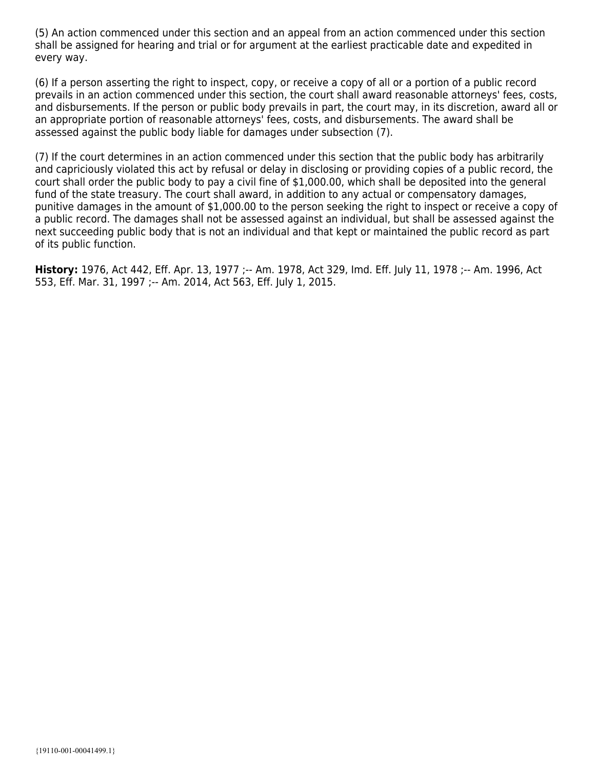(5) An action commenced under this section and an appeal from an action commenced under this section shall be assigned for hearing and trial or for argument at the earliest practicable date and expedited in every way.

(6) If a person asserting the right to inspect, copy, or receive a copy of all or a portion of a public record prevails in an action commenced under this section, the court shall award reasonable attorneys' fees, costs, and disbursements. If the person or public body prevails in part, the court may, in its discretion, award all or an appropriate portion of reasonable attorneys' fees, costs, and disbursements. The award shall be assessed against the public body liable for damages under subsection (7).

(7) If the court determines in an action commenced under this section that the public body has arbitrarily and capriciously violated this act by refusal or delay in disclosing or providing copies of a public record, the court shall order the public body to pay a civil fine of \$1,000.00, which shall be deposited into the general fund of the state treasury. The court shall award, in addition to any actual or compensatory damages, punitive damages in the amount of \$1,000.00 to the person seeking the right to inspect or receive a copy of a public record. The damages shall not be assessed against an individual, but shall be assessed against the next succeeding public body that is not an individual and that kept or maintained the public record as part of its public function.

**History:** 1976, Act 442, Eff. Apr. 13, 1977 ;-- Am. 1978, Act 329, Imd. Eff. July 11, 1978 ;-- Am. 1996, Act 553, Eff. Mar. 31, 1997 ;-- Am. 2014, Act 563, Eff. July 1, 2015.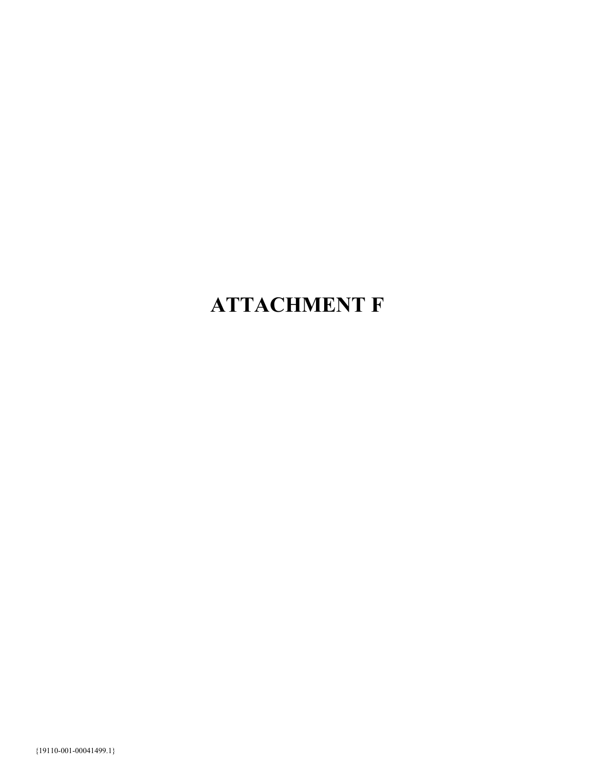# **ATTACHMENT F**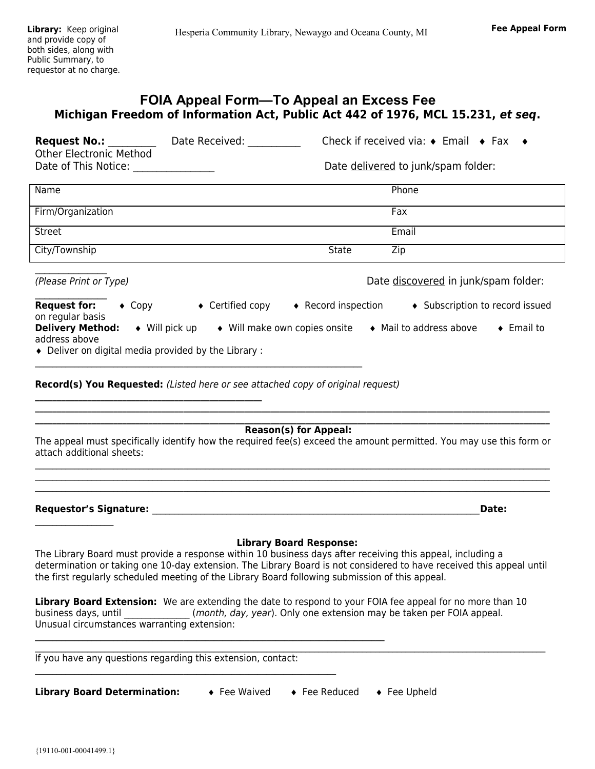# **FOIA Appeal Form—To Appeal an Excess Fee Michigan Freedom of Information Act, Public Act 442 of 1976, MCL 15.231, et seq.**

| <b>Request No.:</b><br><b>Other Electronic Method</b><br>Date of This Notice: National Contract of This Notice:                                                                  | Date Received:                                                                                                                                                                           |              | Check if received via: $\bullet$ Email $\bullet$ Fax<br>Date delivered to junk/spam folder:     |  |  |
|----------------------------------------------------------------------------------------------------------------------------------------------------------------------------------|------------------------------------------------------------------------------------------------------------------------------------------------------------------------------------------|--------------|-------------------------------------------------------------------------------------------------|--|--|
| Name                                                                                                                                                                             |                                                                                                                                                                                          |              | Phone                                                                                           |  |  |
| Firm/Organization                                                                                                                                                                |                                                                                                                                                                                          |              | Fax                                                                                             |  |  |
| <b>Street</b>                                                                                                                                                                    |                                                                                                                                                                                          | Email        |                                                                                                 |  |  |
| City/Township                                                                                                                                                                    |                                                                                                                                                                                          | <b>State</b> | Zip                                                                                             |  |  |
| (Please Print or Type)<br>Request for: $\leftrightarrow$ Copy<br>on regular basis<br>address above<br>◆ Deliver on digital media provided by the Library :                       | $\bullet$ Certified copy $\bullet$ Record inspection<br><b>Delivery Method:</b> $\rightarrow$ Will pick up $\rightarrow$ Will make own copies onsite $\rightarrow$ Mail to address above |              | Date discovered in junk/spam folder:<br>• Subscription to record issued<br>$\triangle$ Email to |  |  |
| <b>Record(s) You Requested:</b> (Listed here or see attached copy of original request)                                                                                           |                                                                                                                                                                                          |              |                                                                                                 |  |  |
| <b>Reason(s) for Appeal:</b><br>The appeal must specifically identify how the required fee(s) exceed the amount permitted. You may use this form or<br>attach additional sheets: |                                                                                                                                                                                          |              |                                                                                                 |  |  |
|                                                                                                                                                                                  |                                                                                                                                                                                          |              | Date:                                                                                           |  |  |

#### **Library Board Response:**

The Library Board must provide a response within 10 business days after receiving this appeal, including a determination or taking one 10-day extension. The Library Board is not considered to have received this appeal until the first regularly scheduled meeting of the Library Board following submission of this appeal.

**Library Board Extension:** We are extending the date to respond to your FOIA fee appeal for no more than 10 business days, until \_\_\_\_\_\_\_\_\_\_\_\_\_\_\_(month, day, year). Only one extension may be taken per FOIA appeal. Unusual circumstances warranting extension:

 $\mathcal{L}_\mathcal{L} = \{ \mathcal{L}_\mathcal{L} = \{ \mathcal{L}_\mathcal{L} = \{ \mathcal{L}_\mathcal{L} = \{ \mathcal{L}_\mathcal{L} = \{ \mathcal{L}_\mathcal{L} = \{ \mathcal{L}_\mathcal{L} = \{ \mathcal{L}_\mathcal{L} = \{ \mathcal{L}_\mathcal{L} = \{ \mathcal{L}_\mathcal{L} = \{ \mathcal{L}_\mathcal{L} = \{ \mathcal{L}_\mathcal{L} = \{ \mathcal{L}_\mathcal{L} = \{ \mathcal{L}_\mathcal{L} = \{ \mathcal{L}_\mathcal{$ 

If you have any questions regarding this extension, contact:

\_\_\_\_\_\_\_\_\_\_\_\_\_\_\_\_\_\_\_\_\_\_\_\_\_\_\_\_\_\_\_\_\_\_\_\_\_\_\_\_\_\_\_\_\_\_\_\_\_\_\_\_\_\_\_\_\_\_\_\_\_\_\_\_\_\_\_\_\_

 $\mathcal{L}_\text{max}$  and  $\mathcal{L}_\text{max}$  and  $\mathcal{L}_\text{max}$  and  $\mathcal{L}_\text{max}$  and  $\mathcal{L}_\text{max}$  and  $\mathcal{L}_\text{max}$ 

**Library Board Determination:**  $\bullet$  Fee Waived  $\bullet$  Fee Reduced  $\bullet$  Fee Upheld

- 
-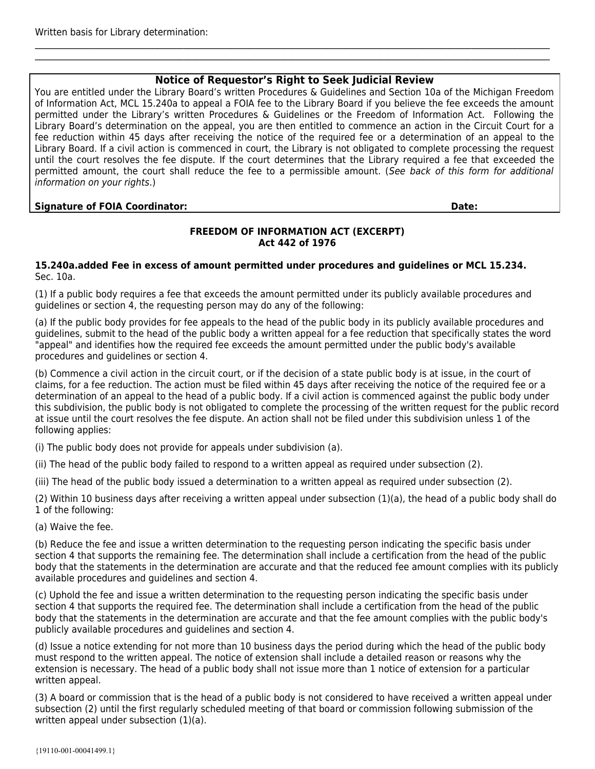## **Notice of Requestor's Right to Seek Judicial Review**

 $\_$  ,  $\_$  ,  $\_$  ,  $\_$  ,  $\_$  ,  $\_$  ,  $\_$  ,  $\_$  ,  $\_$  ,  $\_$  ,  $\_$  ,  $\_$  ,  $\_$  ,  $\_$  ,  $\_$  ,  $\_$  ,  $\_$  ,  $\_$  ,  $\_$  ,  $\_$  ,  $\_$  ,  $\_$  ,  $\_$  ,  $\_$  ,  $\_$  ,  $\_$  ,  $\_$  ,  $\_$  ,  $\_$  ,  $\_$  ,  $\_$  ,  $\_$  ,  $\_$  ,  $\_$  ,  $\_$  ,  $\_$  ,  $\_$  ,  $\_$  ,  $\_$  ,  $\_$  ,  $\_$  ,  $\_$  ,  $\_$  ,  $\_$  ,  $\_$  ,  $\_$  ,  $\_$  ,  $\_$  ,  $\_$  ,  $\_$  ,  $\_$  ,  $\_$  ,  $\_$  ,  $\_$  ,  $\_$  ,  $\_$  ,  $\_$  ,  $\_$  ,  $\_$  ,  $\_$  ,  $\_$  ,  $\_$  ,  $\_$  ,  $\_$  ,  $\_$  ,  $\_$  ,  $\_$  ,  $\_$  ,  $\_$  ,  $\_$  ,  $\_$  ,  $\_$  ,  $\_$  ,  $\_$  ,

You are entitled under the Library Board's written Procedures & Guidelines and Section 10a of the Michigan Freedom of Information Act, MCL 15.240a to appeal a FOIA fee to the Library Board if you believe the fee exceeds the amount permitted under the Library's written Procedures & Guidelines or the Freedom of Information Act. Following the Library Board's determination on the appeal, you are then entitled to commence an action in the Circuit Court for a fee reduction within 45 days after receiving the notice of the required fee or a determination of an appeal to the Library Board. If a civil action is commenced in court, the Library is not obligated to complete processing the request until the court resolves the fee dispute. If the court determines that the Library required a fee that exceeded the permitted amount, the court shall reduce the fee to a permissible amount. (See back of this form for additional information on your rights.)

## **Signature of FOIA Coordinator: Date:**

### **FREEDOM OF INFORMATION ACT (EXCERPT) Act 442 of 1976**

### **15.240a.added Fee in excess of amount permitted under procedures and guidelines or MCL 15.234.** Sec. 10a.

(1) If a public body requires a fee that exceeds the amount permitted under its publicly available procedures and guidelines or section 4, the requesting person may do any of the following:

(a) If the public body provides for fee appeals to the head of the public body in its publicly available procedures and guidelines, submit to the head of the public body a written appeal for a fee reduction that specifically states the word "appeal" and identifies how the required fee exceeds the amount permitted under the public body's available procedures and guidelines or section 4.

(b) Commence a civil action in the circuit court, or if the decision of a state public body is at issue, in the court of claims, for a fee reduction. The action must be filed within 45 days after receiving the notice of the required fee or a determination of an appeal to the head of a public body. If a civil action is commenced against the public body under this subdivision, the public body is not obligated to complete the processing of the written request for the public record at issue until the court resolves the fee dispute. An action shall not be filed under this subdivision unless 1 of the following applies:

(i) The public body does not provide for appeals under subdivision (a).

(ii) The head of the public body failed to respond to a written appeal as required under subsection (2).

(iii) The head of the public body issued a determination to a written appeal as required under subsection (2).

(2) Within 10 business days after receiving a written appeal under subsection (1)(a), the head of a public body shall do 1 of the following:

(a) Waive the fee.

(b) Reduce the fee and issue a written determination to the requesting person indicating the specific basis under section 4 that supports the remaining fee. The determination shall include a certification from the head of the public body that the statements in the determination are accurate and that the reduced fee amount complies with its publicly available procedures and guidelines and section 4.

(c) Uphold the fee and issue a written determination to the requesting person indicating the specific basis under section 4 that supports the required fee. The determination shall include a certification from the head of the public body that the statements in the determination are accurate and that the fee amount complies with the public body's publicly available procedures and guidelines and section 4.

(d) Issue a notice extending for not more than 10 business days the period during which the head of the public body must respond to the written appeal. The notice of extension shall include a detailed reason or reasons why the extension is necessary. The head of a public body shall not issue more than 1 notice of extension for a particular written appeal.

(3) A board or commission that is the head of a public body is not considered to have received a written appeal under subsection (2) until the first regularly scheduled meeting of that board or commission following submission of the written appeal under subsection (1)(a).